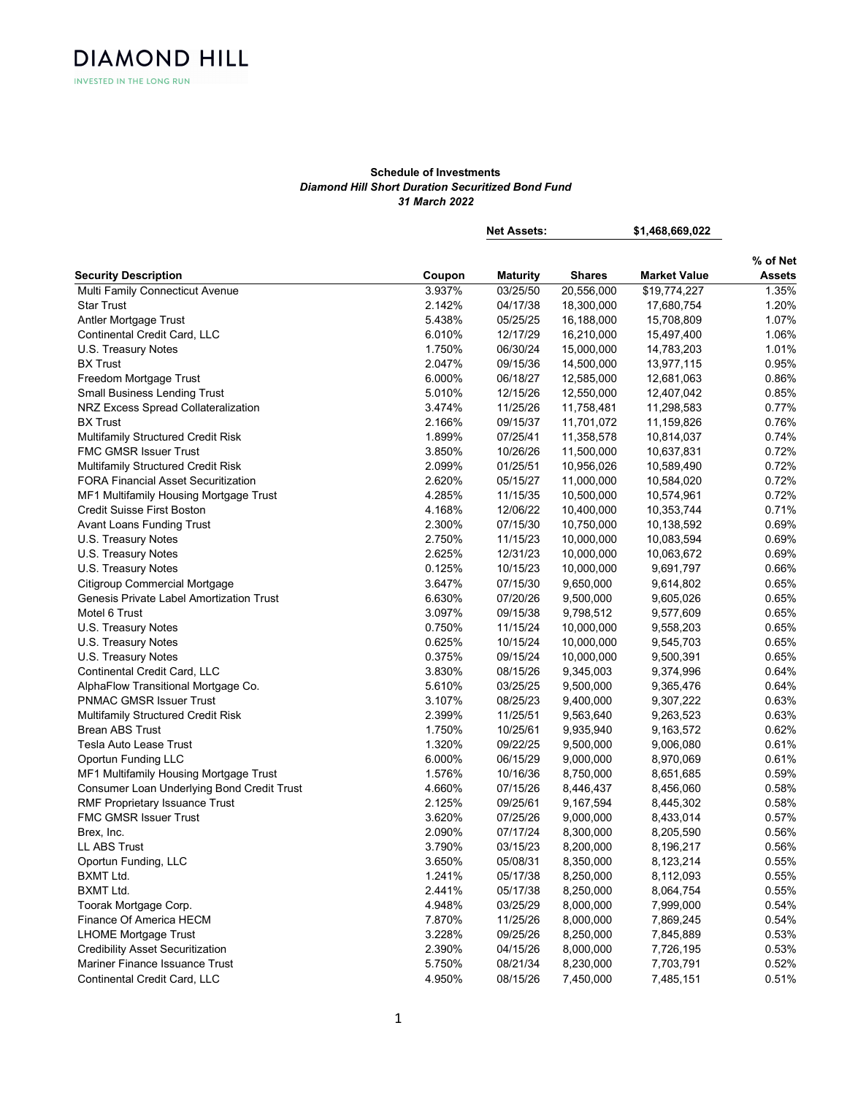# Schedule of Investments Diamond Hill Short Duration Securitized Bond Fund 31 March 2022

|                                                 |        | <b>Net Assets:</b> |               | \$1,468,669,022     |                           |
|-------------------------------------------------|--------|--------------------|---------------|---------------------|---------------------------|
|                                                 |        |                    |               |                     |                           |
| <b>Security Description</b>                     | Coupon | <b>Maturity</b>    | <b>Shares</b> | <b>Market Value</b> | % of Net<br><b>Assets</b> |
| Multi Family Connecticut Avenue                 | 3.937% | 03/25/50           | 20,556,000    | \$19,774,227        | 1.35%                     |
| <b>Star Trust</b>                               | 2.142% | 04/17/38           | 18,300,000    | 17,680,754          | 1.20%                     |
| Antler Mortgage Trust                           | 5.438% | 05/25/25           | 16,188,000    | 15,708,809          | 1.07%                     |
| Continental Credit Card, LLC                    | 6.010% | 12/17/29           | 16,210,000    | 15,497,400          | 1.06%                     |
| U.S. Treasury Notes                             | 1.750% | 06/30/24           | 15,000,000    | 14,783,203          | 1.01%                     |
| <b>BX Trust</b>                                 | 2.047% | 09/15/36           | 14,500,000    | 13,977,115          | 0.95%                     |
| Freedom Mortgage Trust                          | 6.000% | 06/18/27           | 12,585,000    | 12,681,063          | 0.86%                     |
| <b>Small Business Lending Trust</b>             | 5.010% | 12/15/26           | 12,550,000    | 12,407,042          | 0.85%                     |
| NRZ Excess Spread Collateralization             | 3.474% | 11/25/26           | 11,758,481    | 11,298,583          | 0.77%                     |
| <b>BX Trust</b>                                 | 2.166% | 09/15/37           | 11,701,072    | 11,159,826          | 0.76%                     |
| Multifamily Structured Credit Risk              | 1.899% | 07/25/41           | 11,358,578    | 10,814,037          | 0.74%                     |
| <b>FMC GMSR Issuer Trust</b>                    | 3.850% | 10/26/26           | 11,500,000    | 10,637,831          | 0.72%                     |
| Multifamily Structured Credit Risk              | 2.099% | 01/25/51           | 10,956,026    | 10,589,490          | 0.72%                     |
| <b>FORA Financial Asset Securitization</b>      | 2.620% | 05/15/27           | 11,000,000    | 10,584,020          | 0.72%                     |
| MF1 Multifamily Housing Mortgage Trust          | 4.285% | 11/15/35           | 10,500,000    | 10,574,961          | 0.72%                     |
| Credit Suisse First Boston                      | 4.168% | 12/06/22           | 10,400,000    | 10,353,744          | 0.71%                     |
| Avant Loans Funding Trust                       | 2.300% | 07/15/30           | 10,750,000    | 10,138,592          | 0.69%                     |
| U.S. Treasury Notes                             | 2.750% | 11/15/23           | 10,000,000    | 10,083,594          | 0.69%                     |
| U.S. Treasury Notes                             | 2.625% | 12/31/23           | 10,000,000    | 10,063,672          | 0.69%                     |
| U.S. Treasury Notes                             | 0.125% | 10/15/23           | 10,000,000    | 9,691,797           | 0.66%                     |
| Citigroup Commercial Mortgage                   | 3.647% | 07/15/30           | 9,650,000     | 9,614,802           | 0.65%                     |
| <b>Genesis Private Label Amortization Trust</b> | 6.630% | 07/20/26           | 9,500,000     | 9,605,026           | 0.65%                     |
| Motel 6 Trust                                   | 3.097% | 09/15/38           | 9,798,512     | 9,577,609           | 0.65%                     |
| U.S. Treasury Notes                             | 0.750% | 11/15/24           | 10,000,000    | 9,558,203           | 0.65%                     |
| U.S. Treasury Notes                             | 0.625% | 10/15/24           | 10,000,000    | 9,545,703           | 0.65%                     |
| U.S. Treasury Notes                             | 0.375% | 09/15/24           | 10,000,000    | 9,500,391           | 0.65%                     |
| Continental Credit Card, LLC                    | 3.830% | 08/15/26           | 9,345,003     | 9,374,996           | 0.64%                     |
| AlphaFlow Transitional Mortgage Co.             | 5.610% | 03/25/25           | 9,500,000     | 9,365,476           | 0.64%                     |
| <b>PNMAC GMSR Issuer Trust</b>                  | 3.107% | 08/25/23           | 9,400,000     | 9,307,222           | 0.63%                     |
| Multifamily Structured Credit Risk              | 2.399% | 11/25/51           | 9,563,640     | 9,263,523           | 0.63%                     |
| <b>Brean ABS Trust</b>                          | 1.750% | 10/25/61           | 9,935,940     | 9,163,572           | 0.62%                     |
| Tesla Auto Lease Trust                          | 1.320% | 09/22/25           | 9,500,000     | 9,006,080           | 0.61%                     |
| <b>Oportun Funding LLC</b>                      | 6.000% | 06/15/29           | 9,000,000     | 8,970,069           | 0.61%                     |
| MF1 Multifamily Housing Mortgage Trust          | 1.576% | 10/16/36           | 8,750,000     | 8,651,685           | 0.59%                     |
| Consumer Loan Underlying Bond Credit Trust      | 4.660% | 07/15/26           | 8,446,437     | 8,456,060           | 0.58%                     |
| RMF Proprietary Issuance Trust                  | 2.125% | 09/25/61           | 9,167,594     | 8,445,302           | 0.58%                     |
| <b>FMC GMSR Issuer Trust</b>                    | 3.620% | 07/25/26           | 9,000,000     | 8,433,014           | 0.57%                     |
| Brex, Inc.                                      | 2.090% | 07/17/24           | 8,300,000     | 8,205,590           | 0.56%                     |
| <b>LL ABS Trust</b>                             | 3.790% | 03/15/23           | 8,200,000     | 8,196,217           | 0.56%                     |
| Oportun Funding, LLC                            | 3.650% | 05/08/31           | 8,350,000     | 8,123,214           | 0.55%                     |
| <b>BXMT Ltd.</b>                                | 1.241% | 05/17/38           | 8,250,000     | 8,112,093           | 0.55%                     |
| <b>BXMT Ltd.</b>                                | 2.441% | 05/17/38           | 8,250,000     | 8,064,754           | 0.55%                     |
| Toorak Mortgage Corp.                           | 4.948% | 03/25/29           | 8,000,000     | 7,999,000           | 0.54%                     |
| Finance Of America HECM                         | 7.870% | 11/25/26           | 8,000,000     | 7,869,245           | 0.54%                     |
| <b>LHOME Mortgage Trust</b>                     | 3.228% | 09/25/26           | 8,250,000     | 7,845,889           | 0.53%                     |
| <b>Credibility Asset Securitization</b>         | 2.390% | 04/15/26           | 8,000,000     | 7,726,195           | 0.53%                     |
| Mariner Finance Issuance Trust                  | 5.750% | 08/21/34           | 8,230,000     | 7,703,791           | 0.52%                     |
| Continental Credit Card, LLC                    | 4.950% | 08/15/26           | 7,450,000     | 7,485,151           | 0.51%                     |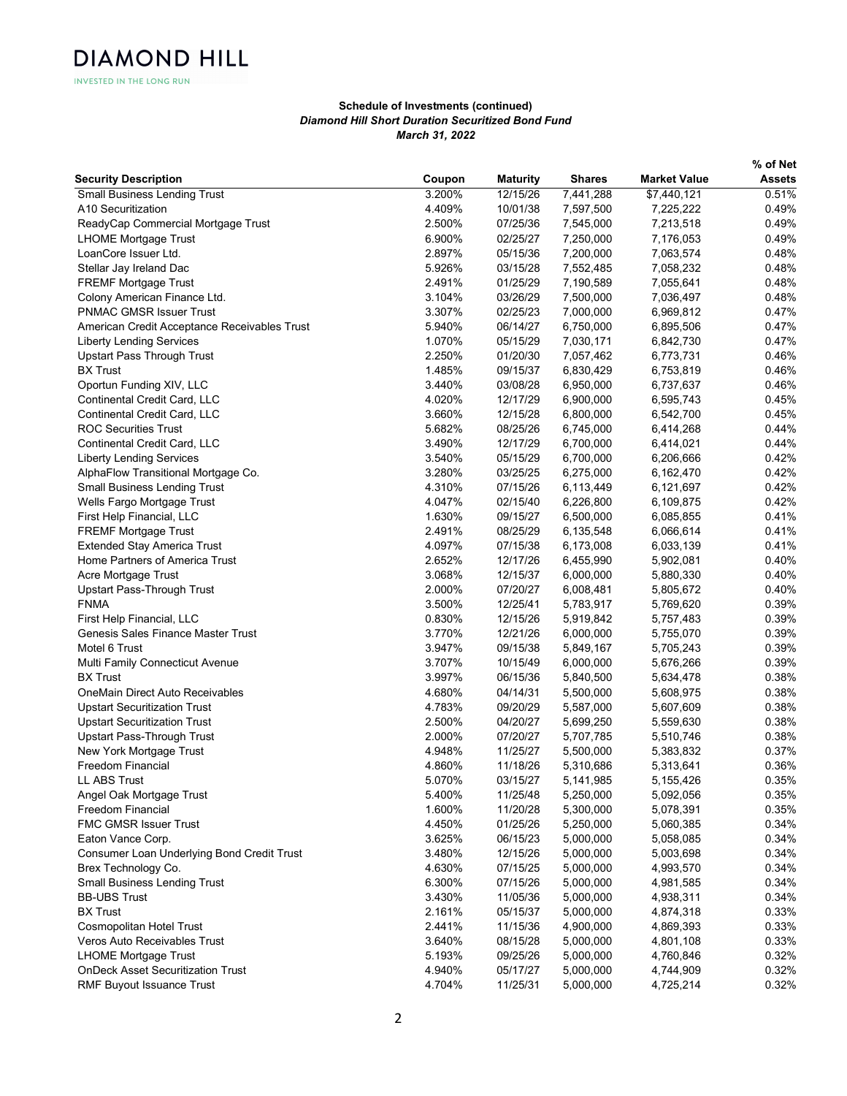INVESTED IN THE LONG RUN

|                                              |        |                 |               |                     | % of Net      |
|----------------------------------------------|--------|-----------------|---------------|---------------------|---------------|
| <b>Security Description</b>                  | Coupon | <b>Maturity</b> | <b>Shares</b> | <b>Market Value</b> | <b>Assets</b> |
| <b>Small Business Lending Trust</b>          | 3.200% | 12/15/26        | 7,441,288     | \$7,440,121         | 0.51%         |
| A10 Securitization                           | 4.409% | 10/01/38        | 7,597,500     | 7,225,222           | 0.49%         |
| ReadyCap Commercial Mortgage Trust           | 2.500% | 07/25/36        | 7,545,000     | 7,213,518           | 0.49%         |
| <b>LHOME Mortgage Trust</b>                  | 6.900% | 02/25/27        | 7,250,000     | 7,176,053           | 0.49%         |
| LoanCore Issuer Ltd.                         | 2.897% | 05/15/36        | 7,200,000     | 7,063,574           | 0.48%         |
| Stellar Jay Ireland Dac                      | 5.926% | 03/15/28        | 7,552,485     | 7,058,232           | 0.48%         |
| <b>FREMF Mortgage Trust</b>                  | 2.491% | 01/25/29        | 7,190,589     | 7,055,641           | 0.48%         |
| Colony American Finance Ltd.                 | 3.104% | 03/26/29        | 7,500,000     | 7,036,497           | 0.48%         |
| <b>PNMAC GMSR Issuer Trust</b>               | 3.307% | 02/25/23        | 7,000,000     | 6,969,812           | 0.47%         |
| American Credit Acceptance Receivables Trust | 5.940% | 06/14/27        | 6,750,000     | 6,895,506           | 0.47%         |
| <b>Liberty Lending Services</b>              | 1.070% | 05/15/29        | 7,030,171     | 6,842,730           | 0.47%         |
| <b>Upstart Pass Through Trust</b>            | 2.250% | 01/20/30        | 7,057,462     | 6,773,731           | 0.46%         |
| <b>BX Trust</b>                              | 1.485% | 09/15/37        | 6,830,429     | 6,753,819           | 0.46%         |
| Oportun Funding XIV, LLC                     | 3.440% | 03/08/28        | 6,950,000     | 6,737,637           | 0.46%         |
| Continental Credit Card, LLC                 | 4.020% | 12/17/29        | 6,900,000     | 6,595,743           | 0.45%         |
| Continental Credit Card, LLC                 | 3.660% | 12/15/28        | 6,800,000     | 6,542,700           | 0.45%         |
| <b>ROC Securities Trust</b>                  | 5.682% | 08/25/26        | 6,745,000     | 6,414,268           | 0.44%         |
| Continental Credit Card, LLC                 | 3.490% | 12/17/29        | 6,700,000     | 6,414,021           | 0.44%         |
| <b>Liberty Lending Services</b>              | 3.540% | 05/15/29        | 6,700,000     | 6,206,666           | 0.42%         |
| AlphaFlow Transitional Mortgage Co.          | 3.280% | 03/25/25        | 6,275,000     | 6,162,470           | 0.42%         |
| <b>Small Business Lending Trust</b>          | 4.310% | 07/15/26        | 6,113,449     | 6,121,697           | 0.42%         |
| Wells Fargo Mortgage Trust                   | 4.047% | 02/15/40        | 6,226,800     | 6,109,875           | 0.42%         |
| First Help Financial, LLC                    | 1.630% | 09/15/27        | 6,500,000     | 6,085,855           | 0.41%         |
| <b>FREMF Mortgage Trust</b>                  | 2.491% | 08/25/29        | 6,135,548     | 6,066,614           | 0.41%         |
| <b>Extended Stay America Trust</b>           | 4.097% | 07/15/38        | 6,173,008     | 6,033,139           | 0.41%         |
| Home Partners of America Trust               | 2.652% | 12/17/26        | 6,455,990     | 5,902,081           | 0.40%         |
| Acre Mortgage Trust                          | 3.068% | 12/15/37        | 6,000,000     | 5,880,330           | 0.40%         |
| Upstart Pass-Through Trust                   | 2.000% | 07/20/27        | 6,008,481     | 5,805,672           | 0.40%         |
| <b>FNMA</b>                                  | 3.500% | 12/25/41        | 5,783,917     | 5,769,620           | 0.39%         |
| First Help Financial, LLC                    | 0.830% | 12/15/26        | 5,919,842     | 5,757,483           | 0.39%         |
| Genesis Sales Finance Master Trust           | 3.770% | 12/21/26        | 6,000,000     | 5,755,070           | 0.39%         |
| Motel 6 Trust                                | 3.947% | 09/15/38        | 5,849,167     | 5,705,243           | 0.39%         |
| Multi Family Connecticut Avenue              | 3.707% | 10/15/49        | 6,000,000     | 5,676,266           | 0.39%         |
| <b>BX Trust</b>                              | 3.997% | 06/15/36        | 5,840,500     | 5,634,478           | 0.38%         |
| OneMain Direct Auto Receivables              | 4.680% | 04/14/31        | 5,500,000     | 5,608,975           | 0.38%         |
| <b>Upstart Securitization Trust</b>          | 4.783% | 09/20/29        | 5,587,000     | 5,607,609           | 0.38%         |
| <b>Upstart Securitization Trust</b>          | 2.500% | 04/20/27        | 5,699,250     | 5,559,630           | 0.38%         |
| Upstart Pass-Through Trust                   | 2.000% | 07/20/27        | 5,707,785     | 5,510,746           | 0.38%         |
| New York Mortgage Trust                      | 4.948% | 11/25/27        | 5,500,000     | 5,383,832           | 0.37%         |
| Freedom Financial                            | 4.860% | 11/18/26        | 5,310,686     | 5,313,641           | 0.36%         |
| LL ABS Trust                                 | 5.070% | 03/15/27        | 5,141,985     | 5,155,426           | 0.35%         |
| Angel Oak Mortgage Trust                     | 5.400% | 11/25/48        | 5,250,000     | 5,092,056           | 0.35%         |
| Freedom Financial                            | 1.600% | 11/20/28        | 5,300,000     | 5,078,391           | 0.35%         |
| FMC GMSR Issuer Trust                        | 4.450% | 01/25/26        | 5,250,000     | 5,060,385           | 0.34%         |
| Eaton Vance Corp.                            | 3.625% | 06/15/23        | 5,000,000     | 5,058,085           | 0.34%         |
| Consumer Loan Underlying Bond Credit Trust   | 3.480% | 12/15/26        | 5,000,000     | 5,003,698           | 0.34%         |
| Brex Technology Co.                          | 4.630% | 07/15/25        | 5,000,000     | 4,993,570           | 0.34%         |
| <b>Small Business Lending Trust</b>          | 6.300% | 07/15/26        | 5,000,000     | 4,981,585           | 0.34%         |
| <b>BB-UBS Trust</b>                          | 3.430% | 11/05/36        | 5,000,000     | 4,938,311           | 0.34%         |
| <b>BX Trust</b>                              | 2.161% | 05/15/37        | 5,000,000     | 4,874,318           | 0.33%         |
| Cosmopolitan Hotel Trust                     | 2.441% | 11/15/36        | 4,900,000     | 4,869,393           | 0.33%         |
| Veros Auto Receivables Trust                 | 3.640% | 08/15/28        | 5,000,000     | 4,801,108           | 0.33%         |
| <b>LHOME Mortgage Trust</b>                  | 5.193% | 09/25/26        | 5,000,000     | 4,760,846           | 0.32%         |
| <b>OnDeck Asset Securitization Trust</b>     | 4.940% | 05/17/27        | 5,000,000     | 4,744,909           | 0.32%         |
| RMF Buyout Issuance Trust                    | 4.704% | 11/25/31        | 5,000,000     | 4,725,214           | 0.32%         |
|                                              |        |                 |               |                     |               |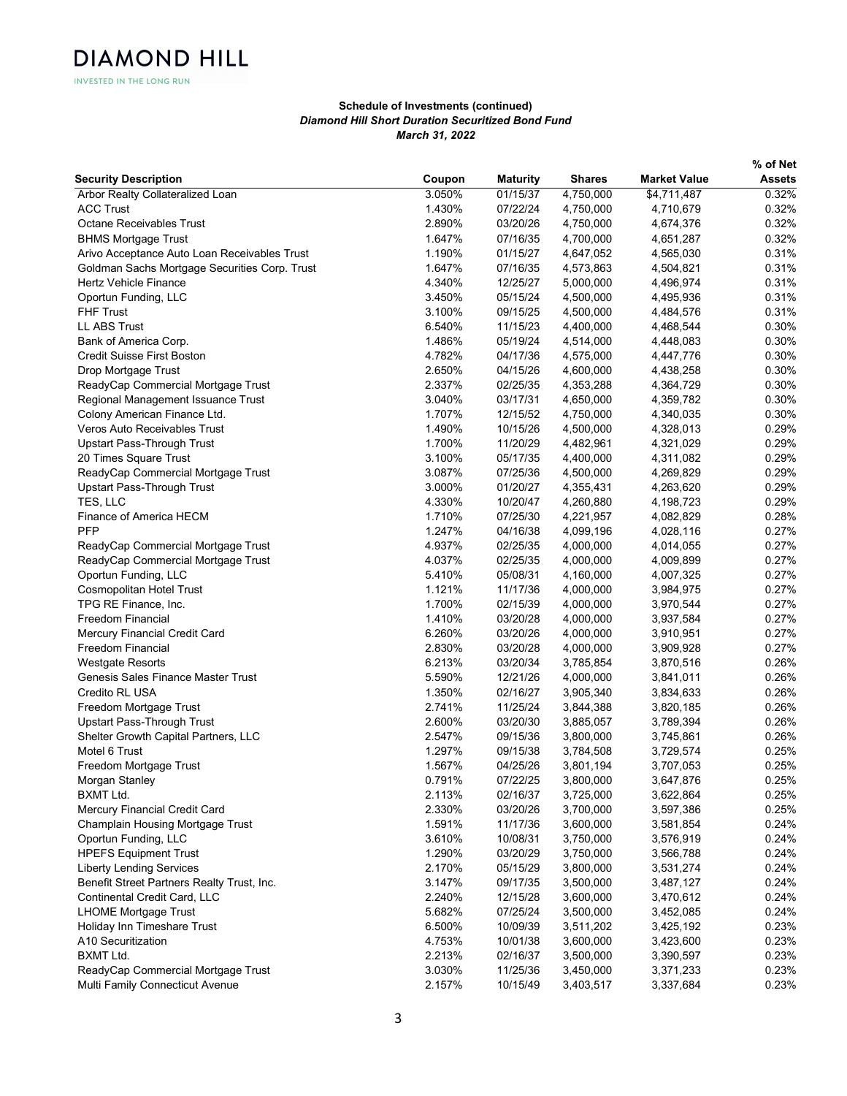INVESTED IN THE LONG RUN

|                                               |        |                 |               |                     | % of Net      |
|-----------------------------------------------|--------|-----------------|---------------|---------------------|---------------|
| <b>Security Description</b>                   | Coupon | <b>Maturity</b> | <b>Shares</b> | <b>Market Value</b> | <b>Assets</b> |
| Arbor Realty Collateralized Loan              | 3.050% | 01/15/37        | 4,750,000     | \$4,711,487         | 0.32%         |
| <b>ACC Trust</b>                              | 1.430% | 07/22/24        | 4,750,000     | 4,710,679           | 0.32%         |
| <b>Octane Receivables Trust</b>               | 2.890% | 03/20/26        | 4,750,000     | 4,674,376           | 0.32%         |
| <b>BHMS Mortgage Trust</b>                    | 1.647% | 07/16/35        | 4,700,000     | 4,651,287           | 0.32%         |
| Arivo Acceptance Auto Loan Receivables Trust  | 1.190% | 01/15/27        | 4,647,052     | 4,565,030           | 0.31%         |
| Goldman Sachs Mortgage Securities Corp. Trust | 1.647% | 07/16/35        | 4,573,863     | 4,504,821           | 0.31%         |
| Hertz Vehicle Finance                         | 4.340% | 12/25/27        | 5,000,000     | 4,496,974           | 0.31%         |
| Oportun Funding, LLC                          | 3.450% | 05/15/24        | 4,500,000     | 4,495,936           | 0.31%         |
| <b>FHF Trust</b>                              | 3.100% | 09/15/25        | 4,500,000     | 4,484,576           | 0.31%         |
| <b>LL ABS Trust</b>                           | 6.540% | 11/15/23        | 4,400,000     | 4,468,544           | 0.30%         |
| Bank of America Corp.                         | 1.486% | 05/19/24        | 4,514,000     | 4,448,083           | 0.30%         |
| <b>Credit Suisse First Boston</b>             | 4.782% | 04/17/36        | 4,575,000     | 4,447,776           | 0.30%         |
| Drop Mortgage Trust                           | 2.650% | 04/15/26        | 4,600,000     | 4,438,258           | 0.30%         |
| ReadyCap Commercial Mortgage Trust            | 2.337% | 02/25/35        | 4,353,288     | 4,364,729           | 0.30%         |
| Regional Management Issuance Trust            | 3.040% | 03/17/31        | 4,650,000     | 4,359,782           | 0.30%         |
| Colony American Finance Ltd.                  | 1.707% | 12/15/52        | 4,750,000     | 4,340,035           | 0.30%         |
| Veros Auto Receivables Trust                  | 1.490% | 10/15/26        | 4,500,000     | 4,328,013           | 0.29%         |
| Upstart Pass-Through Trust                    | 1.700% | 11/20/29        | 4,482,961     | 4,321,029           | 0.29%         |
| 20 Times Square Trust                         | 3.100% | 05/17/35        | 4,400,000     | 4,311,082           | 0.29%         |
| ReadyCap Commercial Mortgage Trust            | 3.087% | 07/25/36        | 4,500,000     | 4,269,829           | 0.29%         |
| Upstart Pass-Through Trust                    | 3.000% | 01/20/27        | 4,355,431     | 4,263,620           | 0.29%         |
| TES, LLC                                      | 4.330% | 10/20/47        | 4,260,880     | 4,198,723           | 0.29%         |
| Finance of America HECM                       | 1.710% | 07/25/30        | 4,221,957     | 4,082,829           | 0.28%         |
| PFP                                           | 1.247% | 04/16/38        | 4,099,196     | 4,028,116           | 0.27%         |
| ReadyCap Commercial Mortgage Trust            | 4.937% | 02/25/35        | 4,000,000     | 4,014,055           | 0.27%         |
| ReadyCap Commercial Mortgage Trust            | 4.037% | 02/25/35        | 4,000,000     | 4,009,899           | 0.27%         |
| Oportun Funding, LLC                          | 5.410% | 05/08/31        | 4,160,000     | 4,007,325           | 0.27%         |
| <b>Cosmopolitan Hotel Trust</b>               | 1.121% | 11/17/36        | 4,000,000     | 3,984,975           | 0.27%         |
| TPG RE Finance, Inc.                          | 1.700% | 02/15/39        | 4,000,000     | 3,970,544           | 0.27%         |
| Freedom Financial                             | 1.410% | 03/20/28        | 4,000,000     | 3,937,584           | 0.27%         |
| Mercury Financial Credit Card                 | 6.260% | 03/20/26        | 4,000,000     | 3,910,951           | 0.27%         |
| Freedom Financial                             | 2.830% | 03/20/28        | 4,000,000     | 3,909,928           | 0.27%         |
| Westgate Resorts                              | 6.213% | 03/20/34        | 3,785,854     | 3,870,516           | 0.26%         |
| Genesis Sales Finance Master Trust            | 5.590% | 12/21/26        | 4,000,000     | 3,841,011           | 0.26%         |
| Credito RL USA                                | 1.350% | 02/16/27        | 3,905,340     | 3,834,633           | 0.26%         |
| Freedom Mortgage Trust                        | 2.741% | 11/25/24        | 3,844,388     | 3,820,185           | 0.26%         |
| Upstart Pass-Through Trust                    | 2.600% | 03/20/30        | 3,885,057     | 3,789,394           | 0.26%         |
| Shelter Growth Capital Partners, LLC          | 2.547% | 09/15/36        | 3,800,000     | 3,745,861           | 0.26%         |
| Motel 6 Trust                                 | 1.297% | 09/15/38        | 3,784,508     | 3,729,574           | 0.25%         |
| Freedom Mortgage Trust                        | 1.567% | 04/25/26        | 3,801,194     | 3,707,053           | 0.25%         |
| Morgan Stanley                                | 0.791% | 07/22/25        | 3,800,000     | 3,647,876           | 0.25%         |
| <b>BXMT Ltd.</b>                              | 2.113% | 02/16/37        | 3,725,000     | 3,622,864           | 0.25%         |
| Mercury Financial Credit Card                 | 2.330% | 03/20/26        | 3,700,000     | 3,597,386           | 0.25%         |
| Champlain Housing Mortgage Trust              | 1.591% | 11/17/36        | 3,600,000     | 3,581,854           | 0.24%         |
| Oportun Funding, LLC                          | 3.610% | 10/08/31        | 3,750,000     | 3,576,919           | 0.24%         |
| <b>HPEFS Equipment Trust</b>                  | 1.290% | 03/20/29        | 3,750,000     | 3,566,788           | 0.24%         |
| <b>Liberty Lending Services</b>               | 2.170% | 05/15/29        | 3,800,000     | 3,531,274           | 0.24%         |
| Benefit Street Partners Realty Trust, Inc.    | 3.147% | 09/17/35        | 3,500,000     | 3,487,127           | 0.24%         |
| Continental Credit Card, LLC                  | 2.240% | 12/15/28        | 3,600,000     | 3,470,612           | 0.24%         |
| <b>LHOME Mortgage Trust</b>                   | 5.682% | 07/25/24        | 3,500,000     | 3,452,085           | 0.24%         |
| Holiday Inn Timeshare Trust                   | 6.500% | 10/09/39        | 3,511,202     | 3,425,192           | 0.23%         |
| A10 Securitization                            | 4.753% | 10/01/38        | 3,600,000     | 3,423,600           | 0.23%         |
| <b>BXMT Ltd.</b>                              | 2.213% | 02/16/37        | 3,500,000     | 3,390,597           | 0.23%         |
| ReadyCap Commercial Mortgage Trust            | 3.030% | 11/25/36        | 3,450,000     | 3,371,233           | 0.23%         |
| Multi Family Connecticut Avenue               | 2.157% | 10/15/49        | 3,403,517     | 3,337,684           | 0.23%         |
|                                               |        |                 |               |                     |               |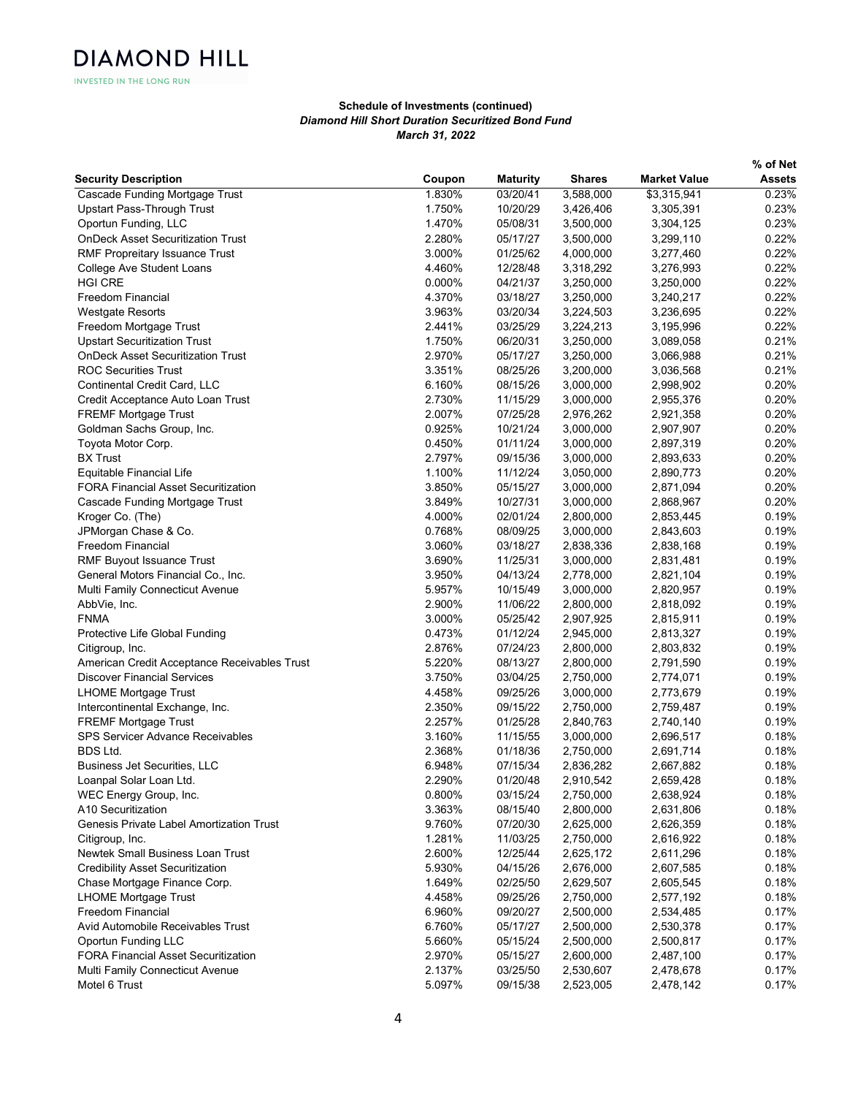INVESTED IN THE LONG RUN

|                                              |        |                 |               |                     | % of Net      |
|----------------------------------------------|--------|-----------------|---------------|---------------------|---------------|
| <b>Security Description</b>                  | Coupon | <b>Maturity</b> | <b>Shares</b> | <b>Market Value</b> | <b>Assets</b> |
| Cascade Funding Mortgage Trust               | 1.830% | 03/20/41        | 3,588,000     | \$3,315,941         | 0.23%         |
| <b>Upstart Pass-Through Trust</b>            | 1.750% | 10/20/29        | 3,426,406     | 3,305,391           | 0.23%         |
| Oportun Funding, LLC                         | 1.470% | 05/08/31        | 3,500,000     | 3,304,125           | 0.23%         |
| <b>OnDeck Asset Securitization Trust</b>     | 2.280% | 05/17/27        | 3,500,000     | 3,299,110           | 0.22%         |
| <b>RMF Propreitary Issuance Trust</b>        | 3.000% | 01/25/62        | 4,000,000     | 3,277,460           | 0.22%         |
| College Ave Student Loans                    | 4.460% | 12/28/48        | 3,318,292     | 3,276,993           | 0.22%         |
| <b>HGI CRE</b>                               | 0.000% | 04/21/37        | 3,250,000     | 3,250,000           | 0.22%         |
| Freedom Financial                            | 4.370% | 03/18/27        | 3,250,000     | 3,240,217           | 0.22%         |
| <b>Westgate Resorts</b>                      | 3.963% | 03/20/34        | 3,224,503     | 3,236,695           | 0.22%         |
| Freedom Mortgage Trust                       | 2.441% | 03/25/29        | 3,224,213     | 3,195,996           | 0.22%         |
| <b>Upstart Securitization Trust</b>          | 1.750% | 06/20/31        | 3,250,000     | 3,089,058           | 0.21%         |
| <b>OnDeck Asset Securitization Trust</b>     | 2.970% | 05/17/27        | 3,250,000     | 3,066,988           | 0.21%         |
| <b>ROC Securities Trust</b>                  | 3.351% | 08/25/26        | 3,200,000     | 3,036,568           | 0.21%         |
| Continental Credit Card, LLC                 | 6.160% | 08/15/26        | 3,000,000     | 2,998,902           | 0.20%         |
| Credit Acceptance Auto Loan Trust            | 2.730% | 11/15/29        | 3,000,000     | 2,955,376           | 0.20%         |
| <b>FREMF Mortgage Trust</b>                  | 2.007% | 07/25/28        | 2,976,262     | 2,921,358           | 0.20%         |
| Goldman Sachs Group, Inc.                    | 0.925% | 10/21/24        | 3,000,000     | 2,907,907           | 0.20%         |
| Toyota Motor Corp.                           | 0.450% | 01/11/24        | 3,000,000     | 2,897,319           | 0.20%         |
| <b>BX Trust</b>                              | 2.797% | 09/15/36        | 3,000,000     | 2,893,633           | 0.20%         |
| Equitable Financial Life                     | 1.100% | 11/12/24        | 3,050,000     | 2,890,773           | 0.20%         |
| <b>FORA Financial Asset Securitization</b>   | 3.850% | 05/15/27        | 3,000,000     | 2,871,094           | 0.20%         |
| Cascade Funding Mortgage Trust               | 3.849% | 10/27/31        | 3,000,000     | 2,868,967           | 0.20%         |
| Kroger Co. (The)                             | 4.000% | 02/01/24        | 2,800,000     | 2,853,445           | 0.19%         |
| JPMorgan Chase & Co.                         | 0.768% | 08/09/25        | 3,000,000     | 2,843,603           | 0.19%         |
| <b>Freedom Financial</b>                     | 3.060% | 03/18/27        | 2,838,336     | 2,838,168           | 0.19%         |
| RMF Buyout Issuance Trust                    | 3.690% | 11/25/31        | 3,000,000     | 2,831,481           | 0.19%         |
| General Motors Financial Co., Inc.           | 3.950% | 04/13/24        | 2,778,000     | 2,821,104           | 0.19%         |
| Multi Family Connecticut Avenue              | 5.957% | 10/15/49        | 3,000,000     | 2,820,957           | 0.19%         |
| AbbVie, Inc.                                 | 2.900% | 11/06/22        | 2,800,000     | 2,818,092           | 0.19%         |
| <b>FNMA</b>                                  | 3.000% | 05/25/42        | 2,907,925     | 2,815,911           | 0.19%         |
| Protective Life Global Funding               | 0.473% | 01/12/24        | 2,945,000     | 2,813,327           | 0.19%         |
| Citigroup, Inc.                              | 2.876% | 07/24/23        | 2,800,000     | 2,803,832           | 0.19%         |
| American Credit Acceptance Receivables Trust | 5.220% | 08/13/27        | 2,800,000     | 2,791,590           | 0.19%         |
| <b>Discover Financial Services</b>           | 3.750% | 03/04/25        | 2,750,000     | 2,774,071           | 0.19%         |
| <b>LHOME Mortgage Trust</b>                  | 4.458% | 09/25/26        | 3,000,000     | 2,773,679           | 0.19%         |
| Intercontinental Exchange, Inc.              | 2.350% | 09/15/22        | 2,750,000     | 2,759,487           | 0.19%         |
| <b>FREMF Mortgage Trust</b>                  | 2.257% | 01/25/28        | 2,840,763     | 2,740,140           | 0.19%         |
| <b>SPS Servicer Advance Receivables</b>      | 3.160% | 11/15/55        | 3,000,000     | 2,696,517           | 0.18%         |
| <b>BDS Ltd.</b>                              | 2.368% | 01/18/36        | 2,750,000     | 2,691,714           | 0.18%         |
| <b>Business Jet Securities, LLC</b>          | 6.948% | 07/15/34        | 2,836,282     | 2,667,882           | 0.18%         |
| Loanpal Solar Loan Ltd.                      | 2.290% | 01/20/48        | 2,910,542     | 2,659,428           | 0.18%         |
| WEC Energy Group, Inc.                       | 0.800% | 03/15/24        | 2,750,000     | 2,638,924           | 0.18%         |
| A10 Securitization                           | 3.363% | 08/15/40        | 2,800,000     | 2,631,806           | 0.18%         |
| Genesis Private Label Amortization Trust     | 9.760% | 07/20/30        | 2,625,000     | 2,626,359           | 0.18%         |
| Citigroup, Inc.                              | 1.281% | 11/03/25        | 2,750,000     | 2,616,922           | 0.18%         |
| Newtek Small Business Loan Trust             | 2.600% | 12/25/44        | 2,625,172     | 2,611,296           | 0.18%         |
| <b>Credibility Asset Securitization</b>      | 5.930% | 04/15/26        | 2,676,000     | 2,607,585           | 0.18%         |
| Chase Mortgage Finance Corp.                 | 1.649% | 02/25/50        | 2,629,507     | 2,605,545           | 0.18%         |
| <b>LHOME Mortgage Trust</b>                  | 4.458% | 09/25/26        | 2,750,000     | 2,577,192           | 0.18%         |
| Freedom Financial                            | 6.960% | 09/20/27        | 2,500,000     | 2,534,485           | 0.17%         |
| Avid Automobile Receivables Trust            | 6.760% | 05/17/27        | 2,500,000     | 2,530,378           | 0.17%         |
| Oportun Funding LLC                          | 5.660% | 05/15/24        | 2,500,000     | 2,500,817           | 0.17%         |
| <b>FORA Financial Asset Securitization</b>   | 2.970% | 05/15/27        | 2,600,000     | 2,487,100           | 0.17%         |
| Multi Family Connecticut Avenue              | 2.137% | 03/25/50        | 2,530,607     | 2,478,678           | 0.17%         |
| Motel 6 Trust                                | 5.097% | 09/15/38        | 2,523,005     | 2,478,142           | 0.17%         |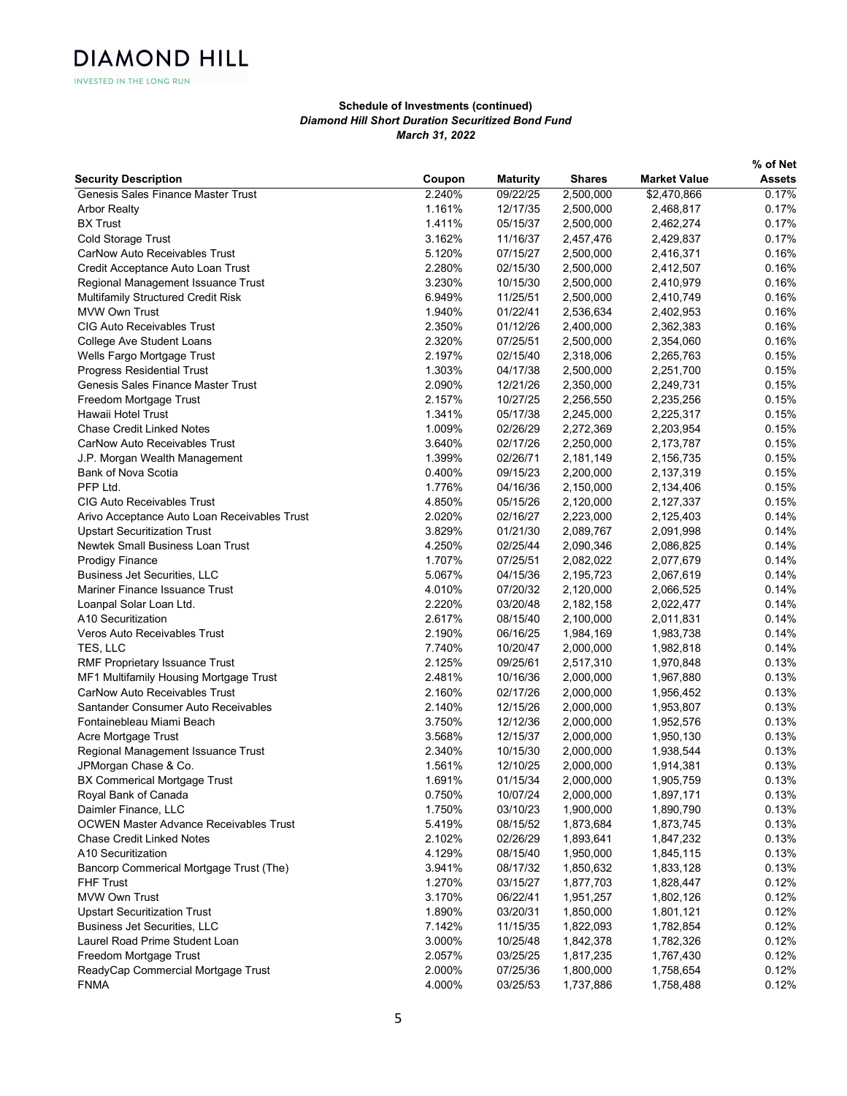INVESTED IN THE LONG RUN

|                                               |        |                 |               |                     | % of Net      |
|-----------------------------------------------|--------|-----------------|---------------|---------------------|---------------|
| <b>Security Description</b>                   | Coupon | <b>Maturity</b> | <b>Shares</b> | <b>Market Value</b> | <b>Assets</b> |
| Genesis Sales Finance Master Trust            | 2.240% | 09/22/25        | 2,500,000     | \$2,470,866         | 0.17%         |
| <b>Arbor Realty</b>                           | 1.161% | 12/17/35        | 2,500,000     | 2,468,817           | 0.17%         |
| <b>BX Trust</b>                               | 1.411% | 05/15/37        | 2,500,000     | 2,462,274           | 0.17%         |
| Cold Storage Trust                            | 3.162% | 11/16/37        | 2,457,476     | 2,429,837           | 0.17%         |
| <b>CarNow Auto Receivables Trust</b>          | 5.120% | 07/15/27        | 2,500,000     | 2,416,371           | 0.16%         |
| Credit Acceptance Auto Loan Trust             | 2.280% | 02/15/30        | 2,500,000     | 2,412,507           | 0.16%         |
| Regional Management Issuance Trust            | 3.230% | 10/15/30        | 2,500,000     | 2,410,979           | 0.16%         |
| Multifamily Structured Credit Risk            | 6.949% | 11/25/51        | 2,500,000     | 2,410,749           | 0.16%         |
| <b>MVW Own Trust</b>                          | 1.940% | 01/22/41        | 2,536,634     | 2,402,953           | 0.16%         |
| <b>CIG Auto Receivables Trust</b>             | 2.350% | 01/12/26        | 2,400,000     | 2,362,383           | 0.16%         |
| College Ave Student Loans                     | 2.320% | 07/25/51        | 2,500,000     | 2,354,060           | 0.16%         |
| Wells Fargo Mortgage Trust                    | 2.197% | 02/15/40        | 2,318,006     | 2,265,763           | 0.15%         |
| <b>Progress Residential Trust</b>             | 1.303% | 04/17/38        | 2,500,000     | 2,251,700           | 0.15%         |
| Genesis Sales Finance Master Trust            | 2.090% | 12/21/26        | 2,350,000     | 2,249,731           | 0.15%         |
| Freedom Mortgage Trust                        | 2.157% | 10/27/25        | 2,256,550     | 2,235,256           | 0.15%         |
| Hawaii Hotel Trust                            | 1.341% | 05/17/38        | 2,245,000     | 2,225,317           | 0.15%         |
| <b>Chase Credit Linked Notes</b>              | 1.009% | 02/26/29        | 2,272,369     | 2,203,954           | 0.15%         |
| <b>CarNow Auto Receivables Trust</b>          | 3.640% | 02/17/26        | 2,250,000     | 2,173,787           | 0.15%         |
| J.P. Morgan Wealth Management                 | 1.399% | 02/26/71        | 2,181,149     | 2,156,735           | 0.15%         |
| Bank of Nova Scotia                           | 0.400% | 09/15/23        | 2,200,000     | 2,137,319           | 0.15%         |
| PFP Ltd.                                      | 1.776% | 04/16/36        | 2,150,000     | 2,134,406           | 0.15%         |
| <b>CIG Auto Receivables Trust</b>             | 4.850% | 05/15/26        | 2,120,000     | 2,127,337           | 0.15%         |
| Arivo Acceptance Auto Loan Receivables Trust  | 2.020% | 02/16/27        | 2,223,000     | 2,125,403           | 0.14%         |
| <b>Upstart Securitization Trust</b>           | 3.829% | 01/21/30        | 2,089,767     | 2,091,998           | 0.14%         |
| Newtek Small Business Loan Trust              | 4.250% | 02/25/44        | 2,090,346     | 2,086,825           | 0.14%         |
| <b>Prodigy Finance</b>                        | 1.707% | 07/25/51        | 2,082,022     | 2,077,679           | 0.14%         |
| <b>Business Jet Securities, LLC</b>           | 5.067% | 04/15/36        | 2,195,723     | 2,067,619           | 0.14%         |
| Mariner Finance Issuance Trust                | 4.010% | 07/20/32        | 2,120,000     | 2,066,525           | 0.14%         |
| Loanpal Solar Loan Ltd.                       | 2.220% | 03/20/48        | 2,182,158     | 2,022,477           | 0.14%         |
| A10 Securitization                            | 2.617% | 08/15/40        | 2,100,000     | 2,011,831           | 0.14%         |
| Veros Auto Receivables Trust                  | 2.190% | 06/16/25        | 1,984,169     | 1,983,738           | 0.14%         |
| TES, LLC                                      | 7.740% | 10/20/47        | 2,000,000     | 1,982,818           | 0.14%         |
| RMF Proprietary Issuance Trust                | 2.125% | 09/25/61        | 2,517,310     | 1,970,848           | 0.13%         |
| MF1 Multifamily Housing Mortgage Trust        | 2.481% | 10/16/36        | 2,000,000     | 1,967,880           | 0.13%         |
| CarNow Auto Receivables Trust                 | 2.160% | 02/17/26        | 2,000,000     | 1,956,452           | 0.13%         |
| Santander Consumer Auto Receivables           | 2.140% | 12/15/26        | 2,000,000     | 1,953,807           | 0.13%         |
| Fontainebleau Miami Beach                     | 3.750% | 12/12/36        | 2,000,000     | 1,952,576           | 0.13%         |
| Acre Mortgage Trust                           | 3.568% | 12/15/37        | 2,000,000     | 1,950,130           | 0.13%         |
| Regional Management Issuance Trust            | 2.340% | 10/15/30        | 2,000,000     | 1,938,544           | 0.13%         |
| JPMorgan Chase & Co.                          | 1.561% | 12/10/25        | 2,000,000     | 1,914,381           | 0.13%         |
| <b>BX Commerical Mortgage Trust</b>           | 1.691% | 01/15/34        | 2,000,000     | 1,905,759           | 0.13%         |
| Royal Bank of Canada                          | 0.750% | 10/07/24        | 2,000,000     | 1,897,171           | 0.13%         |
| Daimler Finance, LLC                          | 1.750% | 03/10/23        | 1,900,000     | 1,890,790           | 0.13%         |
| <b>OCWEN Master Advance Receivables Trust</b> | 5.419% | 08/15/52        | 1,873,684     | 1,873,745           | 0.13%         |
| <b>Chase Credit Linked Notes</b>              | 2.102% | 02/26/29        | 1,893,641     | 1,847,232           | 0.13%         |
| A10 Securitization                            | 4.129% | 08/15/40        | 1,950,000     | 1,845,115           | 0.13%         |
| Bancorp Commerical Mortgage Trust (The)       | 3.941% | 08/17/32        | 1,850,632     | 1,833,128           | 0.13%         |
| <b>FHF Trust</b>                              | 1.270% | 03/15/27        | 1,877,703     | 1,828,447           | 0.12%         |
| MVW Own Trust                                 | 3.170% | 06/22/41        | 1,951,257     | 1,802,126           | 0.12%         |
| <b>Upstart Securitization Trust</b>           | 1.890% | 03/20/31        | 1,850,000     | 1,801,121           | 0.12%         |
| <b>Business Jet Securities, LLC</b>           | 7.142% | 11/15/35        | 1,822,093     | 1,782,854           | 0.12%         |
| Laurel Road Prime Student Loan                | 3.000% | 10/25/48        | 1,842,378     | 1,782,326           | 0.12%         |
| Freedom Mortgage Trust                        | 2.057% | 03/25/25        | 1,817,235     | 1,767,430           | 0.12%         |
| ReadyCap Commercial Mortgage Trust            | 2.000% | 07/25/36        | 1,800,000     | 1,758,654           | 0.12%         |
| <b>FNMA</b>                                   | 4.000% | 03/25/53        | 1,737,886     | 1,758,488           | 0.12%         |
|                                               |        |                 |               |                     |               |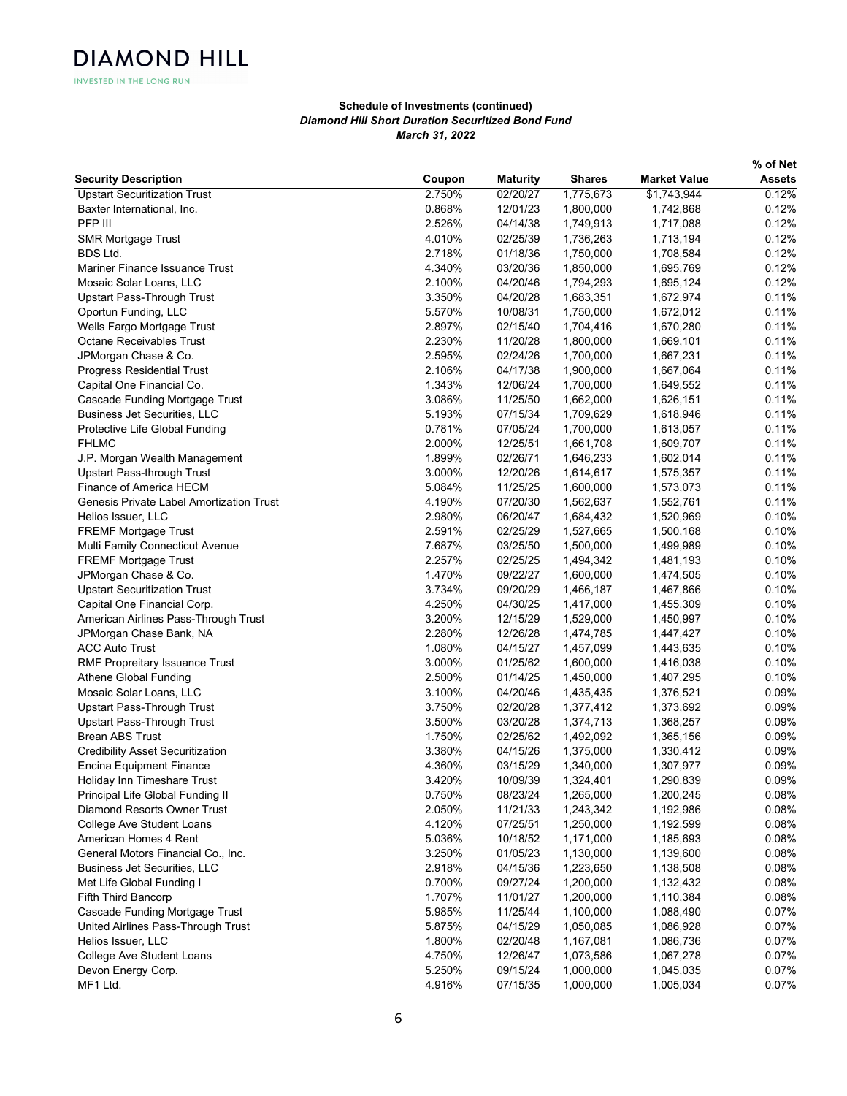| Coupon<br><b>Maturity</b><br><b>Shares</b><br><b>Market Value</b><br><b>Assets</b><br>0.12%<br><b>Upstart Securitization Trust</b><br>2.750%<br>02/20/27<br>1,775,673<br>\$1,743,944<br>0.12%<br>Baxter International, Inc.<br>0.868%<br>12/01/23<br>1,800,000<br>1,742,868<br>PFP III<br>2.526%<br>04/14/38<br>0.12%<br>1,749,913<br>1,717,088<br><b>SMR Mortgage Trust</b><br>4.010%<br>02/25/39<br>1,736,263<br>0.12%<br>1,713,194<br>BDS Ltd.<br>2.718%<br>01/18/36<br>0.12%<br>1,750,000<br>1,708,584<br>4.340%<br>03/20/36<br>1,850,000<br>0.12%<br>Mariner Finance Issuance Trust<br>1,695,769<br>Mosaic Solar Loans, LLC<br>2.100%<br>04/20/46<br>0.12%<br>1,794,293<br>1,695,124<br>Upstart Pass-Through Trust<br>3.350%<br>04/20/28<br>0.11%<br>1,683,351<br>1,672,974<br>Oportun Funding, LLC<br>5.570%<br>0.11%<br>10/08/31<br>1,750,000<br>1,672,012<br>Wells Fargo Mortgage Trust<br>2.897%<br>02/15/40<br>1,704,416<br>0.11%<br>1,670,280<br><b>Octane Receivables Trust</b><br>2.230%<br>11/20/28<br>1,800,000<br>1,669,101<br>0.11%<br>JPMorgan Chase & Co.<br>2.595%<br>02/24/26<br>1,700,000<br>0.11%<br>1,667,231<br><b>Progress Residential Trust</b><br>2.106%<br>04/17/38<br>1,900,000<br>0.11%<br>1,667,064<br>Capital One Financial Co.<br>1.343%<br>12/06/24<br>1,700,000<br>0.11%<br>1,649,552<br>Cascade Funding Mortgage Trust<br>3.086%<br>11/25/50<br>1,662,000<br>1,626,151<br>0.11%<br><b>Business Jet Securities, LLC</b><br>5.193%<br>07/15/34<br>1,709,629<br>0.11%<br>1,618,946<br>Protective Life Global Funding<br>0.781%<br>07/05/24<br>1,700,000<br>0.11%<br>1,613,057<br>2.000%<br>12/25/51<br>1,661,708<br>0.11%<br>1,609,707<br>1.899%<br>02/26/71<br>0.11%<br>J.P. Morgan Wealth Management<br>1,646,233<br>1,602,014<br><b>Upstart Pass-through Trust</b><br>3.000%<br>12/20/26<br>0.11%<br>1,614,617<br>1,575,357<br>Finance of America HECM<br>5.084%<br>11/25/25<br>0.11%<br>1,600,000<br>1,573,073<br>Genesis Private Label Amortization Trust<br>4.190%<br>07/20/30<br>0.11%<br>1,562,637<br>1,552,761<br>Helios Issuer, LLC<br>2.980%<br>06/20/47<br>0.10%<br>1,684,432<br>1,520,969<br>FREMF Mortgage Trust<br>2.591%<br>02/25/29<br>1,527,665<br>0.10%<br>1,500,168<br>Multi Family Connecticut Avenue<br>7.687%<br>03/25/50<br>1,500,000<br>0.10%<br>1,499,989<br>FREMF Mortgage Trust<br>2.257%<br>02/25/25<br>0.10%<br>1,494,342<br>1,481,193<br>JPMorgan Chase & Co.<br>1.470%<br>09/22/27<br>0.10%<br>1,600,000<br>1,474,505<br><b>Upstart Securitization Trust</b><br>3.734%<br>0.10%<br>09/20/29<br>1,466,187<br>1,467,866<br>Capital One Financial Corp.<br>4.250%<br>04/30/25<br>1,417,000<br>1,455,309<br>0.10%<br>American Airlines Pass-Through Trust<br>3.200%<br>12/15/29<br>1,529,000<br>0.10%<br>1,450,997<br>JPMorgan Chase Bank, NA<br>2.280%<br>12/26/28<br>0.10%<br>1,474,785<br>1,447,427<br><b>ACC Auto Trust</b><br>1.080%<br>04/15/27<br>1,457,099<br>0.10%<br>1,443,635<br>RMF Propreitary Issuance Trust<br>3.000%<br>01/25/62<br>0.10%<br>1,600,000<br>1,416,038<br>Athene Global Funding<br>2.500%<br>01/14/25<br>1,450,000<br>0.10%<br>1,407,295<br>Mosaic Solar Loans, LLC<br>3.100%<br>04/20/46<br>0.09%<br>1,435,435<br>1,376,521<br><b>Upstart Pass-Through Trust</b><br>3.750%<br>02/20/28<br>0.09%<br>1,377,412<br>1,373,692<br>Upstart Pass-Through Trust<br>3.500%<br>03/20/28<br>0.09%<br>1,374,713<br>1,368,257<br><b>Brean ABS Trust</b><br>1.750%<br>02/25/62<br>0.09%<br>1,492,092<br>1,365,156<br><b>Credibility Asset Securitization</b><br>3.380%<br>04/15/26<br>0.09%<br>1,375,000<br>1,330,412<br>0.09%<br>4.360%<br>03/15/29<br>1,340,000<br>1,307,977<br>Encina Equipment Finance<br>3.420%<br>10/09/39<br>0.09%<br>Holiday Inn Timeshare Trust<br>1,324,401<br>1,290,839<br>Principal Life Global Funding II<br>0.08%<br>0.750%<br>08/23/24<br>1,265,000<br>1,200,245<br>Diamond Resorts Owner Trust<br>2.050%<br>0.08%<br>11/21/33<br>1,243,342<br>1,192,986<br>College Ave Student Loans<br>4.120%<br>07/25/51<br>1,250,000<br>0.08%<br>1,192,599<br>American Homes 4 Rent<br>5.036%<br>10/18/52<br>1,171,000<br>0.08%<br>1,185,693<br>General Motors Financial Co., Inc.<br>3.250%<br>01/05/23<br>1,130,000<br>1,139,600<br>0.08%<br>Business Jet Securities, LLC<br>2.918%<br>0.08%<br>04/15/36<br>1,223,650<br>1,138,508<br>Met Life Global Funding I<br>0.700%<br>09/27/24<br>1,200,000<br>0.08%<br>1,132,432<br>Fifth Third Bancorp<br>1.707%<br>11/01/27<br>1,200,000<br>1,110,384<br>0.08%<br>Cascade Funding Mortgage Trust<br>5.985%<br>11/25/44<br>1,100,000<br>1,088,490<br>0.07%<br>United Airlines Pass-Through Trust<br>5.875%<br>04/15/29<br>0.07%<br>1,050,085<br>1,086,928<br>Helios Issuer, LLC<br>1.800%<br>0.07%<br>02/20/48<br>1,167,081<br>1,086,736<br>College Ave Student Loans<br>4.750%<br>12/26/47<br>1,073,586<br>1,067,278<br>0.07%<br>1,000,000<br>0.07%<br>Devon Energy Corp.<br>5.250%<br>09/15/24<br>1,045,035<br>MF1 Ltd.<br>4.916%<br>07/15/35<br>1,000,000<br>1,005,034<br>0.07% |                             |  |  | % of Net |
|--------------------------------------------------------------------------------------------------------------------------------------------------------------------------------------------------------------------------------------------------------------------------------------------------------------------------------------------------------------------------------------------------------------------------------------------------------------------------------------------------------------------------------------------------------------------------------------------------------------------------------------------------------------------------------------------------------------------------------------------------------------------------------------------------------------------------------------------------------------------------------------------------------------------------------------------------------------------------------------------------------------------------------------------------------------------------------------------------------------------------------------------------------------------------------------------------------------------------------------------------------------------------------------------------------------------------------------------------------------------------------------------------------------------------------------------------------------------------------------------------------------------------------------------------------------------------------------------------------------------------------------------------------------------------------------------------------------------------------------------------------------------------------------------------------------------------------------------------------------------------------------------------------------------------------------------------------------------------------------------------------------------------------------------------------------------------------------------------------------------------------------------------------------------------------------------------------------------------------------------------------------------------------------------------------------------------------------------------------------------------------------------------------------------------------------------------------------------------------------------------------------------------------------------------------------------------------------------------------------------------------------------------------------------------------------------------------------------------------------------------------------------------------------------------------------------------------------------------------------------------------------------------------------------------------------------------------------------------------------------------------------------------------------------------------------------------------------------------------------------------------------------------------------------------------------------------------------------------------------------------------------------------------------------------------------------------------------------------------------------------------------------------------------------------------------------------------------------------------------------------------------------------------------------------------------------------------------------------------------------------------------------------------------------------------------------------------------------------------------------------------------------------------------------------------------------------------------------------------------------------------------------------------------------------------------------------------------------------------------------------------------------------------------------------------------------------------------------------------------------------------------------------------------------------------------------------------------------------------------------------------------------------------------------------------------------------------------------------------------------------------------------------------------------------------------------------------------------------------------------------------------------------------------------------------------------------------------------------------------------------------------------------------------------------------------------------------------------------------------------------------------------------------------------------------------------------------------------------------------------------------------------------------------------------------------------------------------------------------------------------------------------------------|-----------------------------|--|--|----------|
|                                                                                                                                                                                                                                                                                                                                                                                                                                                                                                                                                                                                                                                                                                                                                                                                                                                                                                                                                                                                                                                                                                                                                                                                                                                                                                                                                                                                                                                                                                                                                                                                                                                                                                                                                                                                                                                                                                                                                                                                                                                                                                                                                                                                                                                                                                                                                                                                                                                                                                                                                                                                                                                                                                                                                                                                                                                                                                                                                                                                                                                                                                                                                                                                                                                                                                                                                                                                                                                                                                                                                                                                                                                                                                                                                                                                                                                                                                                                                                                                                                                                                                                                                                                                                                                                                                                                                                                                                                                                                                                                                                                                                                                                                                                                                                                                                                                                                                                                                                                                                                | <b>Security Description</b> |  |  |          |
|                                                                                                                                                                                                                                                                                                                                                                                                                                                                                                                                                                                                                                                                                                                                                                                                                                                                                                                                                                                                                                                                                                                                                                                                                                                                                                                                                                                                                                                                                                                                                                                                                                                                                                                                                                                                                                                                                                                                                                                                                                                                                                                                                                                                                                                                                                                                                                                                                                                                                                                                                                                                                                                                                                                                                                                                                                                                                                                                                                                                                                                                                                                                                                                                                                                                                                                                                                                                                                                                                                                                                                                                                                                                                                                                                                                                                                                                                                                                                                                                                                                                                                                                                                                                                                                                                                                                                                                                                                                                                                                                                                                                                                                                                                                                                                                                                                                                                                                                                                                                                                |                             |  |  |          |
|                                                                                                                                                                                                                                                                                                                                                                                                                                                                                                                                                                                                                                                                                                                                                                                                                                                                                                                                                                                                                                                                                                                                                                                                                                                                                                                                                                                                                                                                                                                                                                                                                                                                                                                                                                                                                                                                                                                                                                                                                                                                                                                                                                                                                                                                                                                                                                                                                                                                                                                                                                                                                                                                                                                                                                                                                                                                                                                                                                                                                                                                                                                                                                                                                                                                                                                                                                                                                                                                                                                                                                                                                                                                                                                                                                                                                                                                                                                                                                                                                                                                                                                                                                                                                                                                                                                                                                                                                                                                                                                                                                                                                                                                                                                                                                                                                                                                                                                                                                                                                                |                             |  |  |          |
|                                                                                                                                                                                                                                                                                                                                                                                                                                                                                                                                                                                                                                                                                                                                                                                                                                                                                                                                                                                                                                                                                                                                                                                                                                                                                                                                                                                                                                                                                                                                                                                                                                                                                                                                                                                                                                                                                                                                                                                                                                                                                                                                                                                                                                                                                                                                                                                                                                                                                                                                                                                                                                                                                                                                                                                                                                                                                                                                                                                                                                                                                                                                                                                                                                                                                                                                                                                                                                                                                                                                                                                                                                                                                                                                                                                                                                                                                                                                                                                                                                                                                                                                                                                                                                                                                                                                                                                                                                                                                                                                                                                                                                                                                                                                                                                                                                                                                                                                                                                                                                |                             |  |  |          |
|                                                                                                                                                                                                                                                                                                                                                                                                                                                                                                                                                                                                                                                                                                                                                                                                                                                                                                                                                                                                                                                                                                                                                                                                                                                                                                                                                                                                                                                                                                                                                                                                                                                                                                                                                                                                                                                                                                                                                                                                                                                                                                                                                                                                                                                                                                                                                                                                                                                                                                                                                                                                                                                                                                                                                                                                                                                                                                                                                                                                                                                                                                                                                                                                                                                                                                                                                                                                                                                                                                                                                                                                                                                                                                                                                                                                                                                                                                                                                                                                                                                                                                                                                                                                                                                                                                                                                                                                                                                                                                                                                                                                                                                                                                                                                                                                                                                                                                                                                                                                                                |                             |  |  |          |
|                                                                                                                                                                                                                                                                                                                                                                                                                                                                                                                                                                                                                                                                                                                                                                                                                                                                                                                                                                                                                                                                                                                                                                                                                                                                                                                                                                                                                                                                                                                                                                                                                                                                                                                                                                                                                                                                                                                                                                                                                                                                                                                                                                                                                                                                                                                                                                                                                                                                                                                                                                                                                                                                                                                                                                                                                                                                                                                                                                                                                                                                                                                                                                                                                                                                                                                                                                                                                                                                                                                                                                                                                                                                                                                                                                                                                                                                                                                                                                                                                                                                                                                                                                                                                                                                                                                                                                                                                                                                                                                                                                                                                                                                                                                                                                                                                                                                                                                                                                                                                                |                             |  |  |          |
|                                                                                                                                                                                                                                                                                                                                                                                                                                                                                                                                                                                                                                                                                                                                                                                                                                                                                                                                                                                                                                                                                                                                                                                                                                                                                                                                                                                                                                                                                                                                                                                                                                                                                                                                                                                                                                                                                                                                                                                                                                                                                                                                                                                                                                                                                                                                                                                                                                                                                                                                                                                                                                                                                                                                                                                                                                                                                                                                                                                                                                                                                                                                                                                                                                                                                                                                                                                                                                                                                                                                                                                                                                                                                                                                                                                                                                                                                                                                                                                                                                                                                                                                                                                                                                                                                                                                                                                                                                                                                                                                                                                                                                                                                                                                                                                                                                                                                                                                                                                                                                |                             |  |  |          |
|                                                                                                                                                                                                                                                                                                                                                                                                                                                                                                                                                                                                                                                                                                                                                                                                                                                                                                                                                                                                                                                                                                                                                                                                                                                                                                                                                                                                                                                                                                                                                                                                                                                                                                                                                                                                                                                                                                                                                                                                                                                                                                                                                                                                                                                                                                                                                                                                                                                                                                                                                                                                                                                                                                                                                                                                                                                                                                                                                                                                                                                                                                                                                                                                                                                                                                                                                                                                                                                                                                                                                                                                                                                                                                                                                                                                                                                                                                                                                                                                                                                                                                                                                                                                                                                                                                                                                                                                                                                                                                                                                                                                                                                                                                                                                                                                                                                                                                                                                                                                                                |                             |  |  |          |
|                                                                                                                                                                                                                                                                                                                                                                                                                                                                                                                                                                                                                                                                                                                                                                                                                                                                                                                                                                                                                                                                                                                                                                                                                                                                                                                                                                                                                                                                                                                                                                                                                                                                                                                                                                                                                                                                                                                                                                                                                                                                                                                                                                                                                                                                                                                                                                                                                                                                                                                                                                                                                                                                                                                                                                                                                                                                                                                                                                                                                                                                                                                                                                                                                                                                                                                                                                                                                                                                                                                                                                                                                                                                                                                                                                                                                                                                                                                                                                                                                                                                                                                                                                                                                                                                                                                                                                                                                                                                                                                                                                                                                                                                                                                                                                                                                                                                                                                                                                                                                                |                             |  |  |          |
|                                                                                                                                                                                                                                                                                                                                                                                                                                                                                                                                                                                                                                                                                                                                                                                                                                                                                                                                                                                                                                                                                                                                                                                                                                                                                                                                                                                                                                                                                                                                                                                                                                                                                                                                                                                                                                                                                                                                                                                                                                                                                                                                                                                                                                                                                                                                                                                                                                                                                                                                                                                                                                                                                                                                                                                                                                                                                                                                                                                                                                                                                                                                                                                                                                                                                                                                                                                                                                                                                                                                                                                                                                                                                                                                                                                                                                                                                                                                                                                                                                                                                                                                                                                                                                                                                                                                                                                                                                                                                                                                                                                                                                                                                                                                                                                                                                                                                                                                                                                                                                |                             |  |  |          |
|                                                                                                                                                                                                                                                                                                                                                                                                                                                                                                                                                                                                                                                                                                                                                                                                                                                                                                                                                                                                                                                                                                                                                                                                                                                                                                                                                                                                                                                                                                                                                                                                                                                                                                                                                                                                                                                                                                                                                                                                                                                                                                                                                                                                                                                                                                                                                                                                                                                                                                                                                                                                                                                                                                                                                                                                                                                                                                                                                                                                                                                                                                                                                                                                                                                                                                                                                                                                                                                                                                                                                                                                                                                                                                                                                                                                                                                                                                                                                                                                                                                                                                                                                                                                                                                                                                                                                                                                                                                                                                                                                                                                                                                                                                                                                                                                                                                                                                                                                                                                                                |                             |  |  |          |
|                                                                                                                                                                                                                                                                                                                                                                                                                                                                                                                                                                                                                                                                                                                                                                                                                                                                                                                                                                                                                                                                                                                                                                                                                                                                                                                                                                                                                                                                                                                                                                                                                                                                                                                                                                                                                                                                                                                                                                                                                                                                                                                                                                                                                                                                                                                                                                                                                                                                                                                                                                                                                                                                                                                                                                                                                                                                                                                                                                                                                                                                                                                                                                                                                                                                                                                                                                                                                                                                                                                                                                                                                                                                                                                                                                                                                                                                                                                                                                                                                                                                                                                                                                                                                                                                                                                                                                                                                                                                                                                                                                                                                                                                                                                                                                                                                                                                                                                                                                                                                                |                             |  |  |          |
|                                                                                                                                                                                                                                                                                                                                                                                                                                                                                                                                                                                                                                                                                                                                                                                                                                                                                                                                                                                                                                                                                                                                                                                                                                                                                                                                                                                                                                                                                                                                                                                                                                                                                                                                                                                                                                                                                                                                                                                                                                                                                                                                                                                                                                                                                                                                                                                                                                                                                                                                                                                                                                                                                                                                                                                                                                                                                                                                                                                                                                                                                                                                                                                                                                                                                                                                                                                                                                                                                                                                                                                                                                                                                                                                                                                                                                                                                                                                                                                                                                                                                                                                                                                                                                                                                                                                                                                                                                                                                                                                                                                                                                                                                                                                                                                                                                                                                                                                                                                                                                |                             |  |  |          |
|                                                                                                                                                                                                                                                                                                                                                                                                                                                                                                                                                                                                                                                                                                                                                                                                                                                                                                                                                                                                                                                                                                                                                                                                                                                                                                                                                                                                                                                                                                                                                                                                                                                                                                                                                                                                                                                                                                                                                                                                                                                                                                                                                                                                                                                                                                                                                                                                                                                                                                                                                                                                                                                                                                                                                                                                                                                                                                                                                                                                                                                                                                                                                                                                                                                                                                                                                                                                                                                                                                                                                                                                                                                                                                                                                                                                                                                                                                                                                                                                                                                                                                                                                                                                                                                                                                                                                                                                                                                                                                                                                                                                                                                                                                                                                                                                                                                                                                                                                                                                                                |                             |  |  |          |
|                                                                                                                                                                                                                                                                                                                                                                                                                                                                                                                                                                                                                                                                                                                                                                                                                                                                                                                                                                                                                                                                                                                                                                                                                                                                                                                                                                                                                                                                                                                                                                                                                                                                                                                                                                                                                                                                                                                                                                                                                                                                                                                                                                                                                                                                                                                                                                                                                                                                                                                                                                                                                                                                                                                                                                                                                                                                                                                                                                                                                                                                                                                                                                                                                                                                                                                                                                                                                                                                                                                                                                                                                                                                                                                                                                                                                                                                                                                                                                                                                                                                                                                                                                                                                                                                                                                                                                                                                                                                                                                                                                                                                                                                                                                                                                                                                                                                                                                                                                                                                                |                             |  |  |          |
|                                                                                                                                                                                                                                                                                                                                                                                                                                                                                                                                                                                                                                                                                                                                                                                                                                                                                                                                                                                                                                                                                                                                                                                                                                                                                                                                                                                                                                                                                                                                                                                                                                                                                                                                                                                                                                                                                                                                                                                                                                                                                                                                                                                                                                                                                                                                                                                                                                                                                                                                                                                                                                                                                                                                                                                                                                                                                                                                                                                                                                                                                                                                                                                                                                                                                                                                                                                                                                                                                                                                                                                                                                                                                                                                                                                                                                                                                                                                                                                                                                                                                                                                                                                                                                                                                                                                                                                                                                                                                                                                                                                                                                                                                                                                                                                                                                                                                                                                                                                                                                |                             |  |  |          |
|                                                                                                                                                                                                                                                                                                                                                                                                                                                                                                                                                                                                                                                                                                                                                                                                                                                                                                                                                                                                                                                                                                                                                                                                                                                                                                                                                                                                                                                                                                                                                                                                                                                                                                                                                                                                                                                                                                                                                                                                                                                                                                                                                                                                                                                                                                                                                                                                                                                                                                                                                                                                                                                                                                                                                                                                                                                                                                                                                                                                                                                                                                                                                                                                                                                                                                                                                                                                                                                                                                                                                                                                                                                                                                                                                                                                                                                                                                                                                                                                                                                                                                                                                                                                                                                                                                                                                                                                                                                                                                                                                                                                                                                                                                                                                                                                                                                                                                                                                                                                                                |                             |  |  |          |
|                                                                                                                                                                                                                                                                                                                                                                                                                                                                                                                                                                                                                                                                                                                                                                                                                                                                                                                                                                                                                                                                                                                                                                                                                                                                                                                                                                                                                                                                                                                                                                                                                                                                                                                                                                                                                                                                                                                                                                                                                                                                                                                                                                                                                                                                                                                                                                                                                                                                                                                                                                                                                                                                                                                                                                                                                                                                                                                                                                                                                                                                                                                                                                                                                                                                                                                                                                                                                                                                                                                                                                                                                                                                                                                                                                                                                                                                                                                                                                                                                                                                                                                                                                                                                                                                                                                                                                                                                                                                                                                                                                                                                                                                                                                                                                                                                                                                                                                                                                                                                                |                             |  |  |          |
|                                                                                                                                                                                                                                                                                                                                                                                                                                                                                                                                                                                                                                                                                                                                                                                                                                                                                                                                                                                                                                                                                                                                                                                                                                                                                                                                                                                                                                                                                                                                                                                                                                                                                                                                                                                                                                                                                                                                                                                                                                                                                                                                                                                                                                                                                                                                                                                                                                                                                                                                                                                                                                                                                                                                                                                                                                                                                                                                                                                                                                                                                                                                                                                                                                                                                                                                                                                                                                                                                                                                                                                                                                                                                                                                                                                                                                                                                                                                                                                                                                                                                                                                                                                                                                                                                                                                                                                                                                                                                                                                                                                                                                                                                                                                                                                                                                                                                                                                                                                                                                | <b>FHLMC</b>                |  |  |          |
|                                                                                                                                                                                                                                                                                                                                                                                                                                                                                                                                                                                                                                                                                                                                                                                                                                                                                                                                                                                                                                                                                                                                                                                                                                                                                                                                                                                                                                                                                                                                                                                                                                                                                                                                                                                                                                                                                                                                                                                                                                                                                                                                                                                                                                                                                                                                                                                                                                                                                                                                                                                                                                                                                                                                                                                                                                                                                                                                                                                                                                                                                                                                                                                                                                                                                                                                                                                                                                                                                                                                                                                                                                                                                                                                                                                                                                                                                                                                                                                                                                                                                                                                                                                                                                                                                                                                                                                                                                                                                                                                                                                                                                                                                                                                                                                                                                                                                                                                                                                                                                |                             |  |  |          |
|                                                                                                                                                                                                                                                                                                                                                                                                                                                                                                                                                                                                                                                                                                                                                                                                                                                                                                                                                                                                                                                                                                                                                                                                                                                                                                                                                                                                                                                                                                                                                                                                                                                                                                                                                                                                                                                                                                                                                                                                                                                                                                                                                                                                                                                                                                                                                                                                                                                                                                                                                                                                                                                                                                                                                                                                                                                                                                                                                                                                                                                                                                                                                                                                                                                                                                                                                                                                                                                                                                                                                                                                                                                                                                                                                                                                                                                                                                                                                                                                                                                                                                                                                                                                                                                                                                                                                                                                                                                                                                                                                                                                                                                                                                                                                                                                                                                                                                                                                                                                                                |                             |  |  |          |
|                                                                                                                                                                                                                                                                                                                                                                                                                                                                                                                                                                                                                                                                                                                                                                                                                                                                                                                                                                                                                                                                                                                                                                                                                                                                                                                                                                                                                                                                                                                                                                                                                                                                                                                                                                                                                                                                                                                                                                                                                                                                                                                                                                                                                                                                                                                                                                                                                                                                                                                                                                                                                                                                                                                                                                                                                                                                                                                                                                                                                                                                                                                                                                                                                                                                                                                                                                                                                                                                                                                                                                                                                                                                                                                                                                                                                                                                                                                                                                                                                                                                                                                                                                                                                                                                                                                                                                                                                                                                                                                                                                                                                                                                                                                                                                                                                                                                                                                                                                                                                                |                             |  |  |          |
|                                                                                                                                                                                                                                                                                                                                                                                                                                                                                                                                                                                                                                                                                                                                                                                                                                                                                                                                                                                                                                                                                                                                                                                                                                                                                                                                                                                                                                                                                                                                                                                                                                                                                                                                                                                                                                                                                                                                                                                                                                                                                                                                                                                                                                                                                                                                                                                                                                                                                                                                                                                                                                                                                                                                                                                                                                                                                                                                                                                                                                                                                                                                                                                                                                                                                                                                                                                                                                                                                                                                                                                                                                                                                                                                                                                                                                                                                                                                                                                                                                                                                                                                                                                                                                                                                                                                                                                                                                                                                                                                                                                                                                                                                                                                                                                                                                                                                                                                                                                                                                |                             |  |  |          |
|                                                                                                                                                                                                                                                                                                                                                                                                                                                                                                                                                                                                                                                                                                                                                                                                                                                                                                                                                                                                                                                                                                                                                                                                                                                                                                                                                                                                                                                                                                                                                                                                                                                                                                                                                                                                                                                                                                                                                                                                                                                                                                                                                                                                                                                                                                                                                                                                                                                                                                                                                                                                                                                                                                                                                                                                                                                                                                                                                                                                                                                                                                                                                                                                                                                                                                                                                                                                                                                                                                                                                                                                                                                                                                                                                                                                                                                                                                                                                                                                                                                                                                                                                                                                                                                                                                                                                                                                                                                                                                                                                                                                                                                                                                                                                                                                                                                                                                                                                                                                                                |                             |  |  |          |
|                                                                                                                                                                                                                                                                                                                                                                                                                                                                                                                                                                                                                                                                                                                                                                                                                                                                                                                                                                                                                                                                                                                                                                                                                                                                                                                                                                                                                                                                                                                                                                                                                                                                                                                                                                                                                                                                                                                                                                                                                                                                                                                                                                                                                                                                                                                                                                                                                                                                                                                                                                                                                                                                                                                                                                                                                                                                                                                                                                                                                                                                                                                                                                                                                                                                                                                                                                                                                                                                                                                                                                                                                                                                                                                                                                                                                                                                                                                                                                                                                                                                                                                                                                                                                                                                                                                                                                                                                                                                                                                                                                                                                                                                                                                                                                                                                                                                                                                                                                                                                                |                             |  |  |          |
|                                                                                                                                                                                                                                                                                                                                                                                                                                                                                                                                                                                                                                                                                                                                                                                                                                                                                                                                                                                                                                                                                                                                                                                                                                                                                                                                                                                                                                                                                                                                                                                                                                                                                                                                                                                                                                                                                                                                                                                                                                                                                                                                                                                                                                                                                                                                                                                                                                                                                                                                                                                                                                                                                                                                                                                                                                                                                                                                                                                                                                                                                                                                                                                                                                                                                                                                                                                                                                                                                                                                                                                                                                                                                                                                                                                                                                                                                                                                                                                                                                                                                                                                                                                                                                                                                                                                                                                                                                                                                                                                                                                                                                                                                                                                                                                                                                                                                                                                                                                                                                |                             |  |  |          |
|                                                                                                                                                                                                                                                                                                                                                                                                                                                                                                                                                                                                                                                                                                                                                                                                                                                                                                                                                                                                                                                                                                                                                                                                                                                                                                                                                                                                                                                                                                                                                                                                                                                                                                                                                                                                                                                                                                                                                                                                                                                                                                                                                                                                                                                                                                                                                                                                                                                                                                                                                                                                                                                                                                                                                                                                                                                                                                                                                                                                                                                                                                                                                                                                                                                                                                                                                                                                                                                                                                                                                                                                                                                                                                                                                                                                                                                                                                                                                                                                                                                                                                                                                                                                                                                                                                                                                                                                                                                                                                                                                                                                                                                                                                                                                                                                                                                                                                                                                                                                                                |                             |  |  |          |
|                                                                                                                                                                                                                                                                                                                                                                                                                                                                                                                                                                                                                                                                                                                                                                                                                                                                                                                                                                                                                                                                                                                                                                                                                                                                                                                                                                                                                                                                                                                                                                                                                                                                                                                                                                                                                                                                                                                                                                                                                                                                                                                                                                                                                                                                                                                                                                                                                                                                                                                                                                                                                                                                                                                                                                                                                                                                                                                                                                                                                                                                                                                                                                                                                                                                                                                                                                                                                                                                                                                                                                                                                                                                                                                                                                                                                                                                                                                                                                                                                                                                                                                                                                                                                                                                                                                                                                                                                                                                                                                                                                                                                                                                                                                                                                                                                                                                                                                                                                                                                                |                             |  |  |          |
|                                                                                                                                                                                                                                                                                                                                                                                                                                                                                                                                                                                                                                                                                                                                                                                                                                                                                                                                                                                                                                                                                                                                                                                                                                                                                                                                                                                                                                                                                                                                                                                                                                                                                                                                                                                                                                                                                                                                                                                                                                                                                                                                                                                                                                                                                                                                                                                                                                                                                                                                                                                                                                                                                                                                                                                                                                                                                                                                                                                                                                                                                                                                                                                                                                                                                                                                                                                                                                                                                                                                                                                                                                                                                                                                                                                                                                                                                                                                                                                                                                                                                                                                                                                                                                                                                                                                                                                                                                                                                                                                                                                                                                                                                                                                                                                                                                                                                                                                                                                                                                |                             |  |  |          |
|                                                                                                                                                                                                                                                                                                                                                                                                                                                                                                                                                                                                                                                                                                                                                                                                                                                                                                                                                                                                                                                                                                                                                                                                                                                                                                                                                                                                                                                                                                                                                                                                                                                                                                                                                                                                                                                                                                                                                                                                                                                                                                                                                                                                                                                                                                                                                                                                                                                                                                                                                                                                                                                                                                                                                                                                                                                                                                                                                                                                                                                                                                                                                                                                                                                                                                                                                                                                                                                                                                                                                                                                                                                                                                                                                                                                                                                                                                                                                                                                                                                                                                                                                                                                                                                                                                                                                                                                                                                                                                                                                                                                                                                                                                                                                                                                                                                                                                                                                                                                                                |                             |  |  |          |
|                                                                                                                                                                                                                                                                                                                                                                                                                                                                                                                                                                                                                                                                                                                                                                                                                                                                                                                                                                                                                                                                                                                                                                                                                                                                                                                                                                                                                                                                                                                                                                                                                                                                                                                                                                                                                                                                                                                                                                                                                                                                                                                                                                                                                                                                                                                                                                                                                                                                                                                                                                                                                                                                                                                                                                                                                                                                                                                                                                                                                                                                                                                                                                                                                                                                                                                                                                                                                                                                                                                                                                                                                                                                                                                                                                                                                                                                                                                                                                                                                                                                                                                                                                                                                                                                                                                                                                                                                                                                                                                                                                                                                                                                                                                                                                                                                                                                                                                                                                                                                                |                             |  |  |          |
|                                                                                                                                                                                                                                                                                                                                                                                                                                                                                                                                                                                                                                                                                                                                                                                                                                                                                                                                                                                                                                                                                                                                                                                                                                                                                                                                                                                                                                                                                                                                                                                                                                                                                                                                                                                                                                                                                                                                                                                                                                                                                                                                                                                                                                                                                                                                                                                                                                                                                                                                                                                                                                                                                                                                                                                                                                                                                                                                                                                                                                                                                                                                                                                                                                                                                                                                                                                                                                                                                                                                                                                                                                                                                                                                                                                                                                                                                                                                                                                                                                                                                                                                                                                                                                                                                                                                                                                                                                                                                                                                                                                                                                                                                                                                                                                                                                                                                                                                                                                                                                |                             |  |  |          |
|                                                                                                                                                                                                                                                                                                                                                                                                                                                                                                                                                                                                                                                                                                                                                                                                                                                                                                                                                                                                                                                                                                                                                                                                                                                                                                                                                                                                                                                                                                                                                                                                                                                                                                                                                                                                                                                                                                                                                                                                                                                                                                                                                                                                                                                                                                                                                                                                                                                                                                                                                                                                                                                                                                                                                                                                                                                                                                                                                                                                                                                                                                                                                                                                                                                                                                                                                                                                                                                                                                                                                                                                                                                                                                                                                                                                                                                                                                                                                                                                                                                                                                                                                                                                                                                                                                                                                                                                                                                                                                                                                                                                                                                                                                                                                                                                                                                                                                                                                                                                                                |                             |  |  |          |
|                                                                                                                                                                                                                                                                                                                                                                                                                                                                                                                                                                                                                                                                                                                                                                                                                                                                                                                                                                                                                                                                                                                                                                                                                                                                                                                                                                                                                                                                                                                                                                                                                                                                                                                                                                                                                                                                                                                                                                                                                                                                                                                                                                                                                                                                                                                                                                                                                                                                                                                                                                                                                                                                                                                                                                                                                                                                                                                                                                                                                                                                                                                                                                                                                                                                                                                                                                                                                                                                                                                                                                                                                                                                                                                                                                                                                                                                                                                                                                                                                                                                                                                                                                                                                                                                                                                                                                                                                                                                                                                                                                                                                                                                                                                                                                                                                                                                                                                                                                                                                                |                             |  |  |          |
|                                                                                                                                                                                                                                                                                                                                                                                                                                                                                                                                                                                                                                                                                                                                                                                                                                                                                                                                                                                                                                                                                                                                                                                                                                                                                                                                                                                                                                                                                                                                                                                                                                                                                                                                                                                                                                                                                                                                                                                                                                                                                                                                                                                                                                                                                                                                                                                                                                                                                                                                                                                                                                                                                                                                                                                                                                                                                                                                                                                                                                                                                                                                                                                                                                                                                                                                                                                                                                                                                                                                                                                                                                                                                                                                                                                                                                                                                                                                                                                                                                                                                                                                                                                                                                                                                                                                                                                                                                                                                                                                                                                                                                                                                                                                                                                                                                                                                                                                                                                                                                |                             |  |  |          |
|                                                                                                                                                                                                                                                                                                                                                                                                                                                                                                                                                                                                                                                                                                                                                                                                                                                                                                                                                                                                                                                                                                                                                                                                                                                                                                                                                                                                                                                                                                                                                                                                                                                                                                                                                                                                                                                                                                                                                                                                                                                                                                                                                                                                                                                                                                                                                                                                                                                                                                                                                                                                                                                                                                                                                                                                                                                                                                                                                                                                                                                                                                                                                                                                                                                                                                                                                                                                                                                                                                                                                                                                                                                                                                                                                                                                                                                                                                                                                                                                                                                                                                                                                                                                                                                                                                                                                                                                                                                                                                                                                                                                                                                                                                                                                                                                                                                                                                                                                                                                                                |                             |  |  |          |
|                                                                                                                                                                                                                                                                                                                                                                                                                                                                                                                                                                                                                                                                                                                                                                                                                                                                                                                                                                                                                                                                                                                                                                                                                                                                                                                                                                                                                                                                                                                                                                                                                                                                                                                                                                                                                                                                                                                                                                                                                                                                                                                                                                                                                                                                                                                                                                                                                                                                                                                                                                                                                                                                                                                                                                                                                                                                                                                                                                                                                                                                                                                                                                                                                                                                                                                                                                                                                                                                                                                                                                                                                                                                                                                                                                                                                                                                                                                                                                                                                                                                                                                                                                                                                                                                                                                                                                                                                                                                                                                                                                                                                                                                                                                                                                                                                                                                                                                                                                                                                                |                             |  |  |          |
|                                                                                                                                                                                                                                                                                                                                                                                                                                                                                                                                                                                                                                                                                                                                                                                                                                                                                                                                                                                                                                                                                                                                                                                                                                                                                                                                                                                                                                                                                                                                                                                                                                                                                                                                                                                                                                                                                                                                                                                                                                                                                                                                                                                                                                                                                                                                                                                                                                                                                                                                                                                                                                                                                                                                                                                                                                                                                                                                                                                                                                                                                                                                                                                                                                                                                                                                                                                                                                                                                                                                                                                                                                                                                                                                                                                                                                                                                                                                                                                                                                                                                                                                                                                                                                                                                                                                                                                                                                                                                                                                                                                                                                                                                                                                                                                                                                                                                                                                                                                                                                |                             |  |  |          |
|                                                                                                                                                                                                                                                                                                                                                                                                                                                                                                                                                                                                                                                                                                                                                                                                                                                                                                                                                                                                                                                                                                                                                                                                                                                                                                                                                                                                                                                                                                                                                                                                                                                                                                                                                                                                                                                                                                                                                                                                                                                                                                                                                                                                                                                                                                                                                                                                                                                                                                                                                                                                                                                                                                                                                                                                                                                                                                                                                                                                                                                                                                                                                                                                                                                                                                                                                                                                                                                                                                                                                                                                                                                                                                                                                                                                                                                                                                                                                                                                                                                                                                                                                                                                                                                                                                                                                                                                                                                                                                                                                                                                                                                                                                                                                                                                                                                                                                                                                                                                                                |                             |  |  |          |
|                                                                                                                                                                                                                                                                                                                                                                                                                                                                                                                                                                                                                                                                                                                                                                                                                                                                                                                                                                                                                                                                                                                                                                                                                                                                                                                                                                                                                                                                                                                                                                                                                                                                                                                                                                                                                                                                                                                                                                                                                                                                                                                                                                                                                                                                                                                                                                                                                                                                                                                                                                                                                                                                                                                                                                                                                                                                                                                                                                                                                                                                                                                                                                                                                                                                                                                                                                                                                                                                                                                                                                                                                                                                                                                                                                                                                                                                                                                                                                                                                                                                                                                                                                                                                                                                                                                                                                                                                                                                                                                                                                                                                                                                                                                                                                                                                                                                                                                                                                                                                                |                             |  |  |          |
|                                                                                                                                                                                                                                                                                                                                                                                                                                                                                                                                                                                                                                                                                                                                                                                                                                                                                                                                                                                                                                                                                                                                                                                                                                                                                                                                                                                                                                                                                                                                                                                                                                                                                                                                                                                                                                                                                                                                                                                                                                                                                                                                                                                                                                                                                                                                                                                                                                                                                                                                                                                                                                                                                                                                                                                                                                                                                                                                                                                                                                                                                                                                                                                                                                                                                                                                                                                                                                                                                                                                                                                                                                                                                                                                                                                                                                                                                                                                                                                                                                                                                                                                                                                                                                                                                                                                                                                                                                                                                                                                                                                                                                                                                                                                                                                                                                                                                                                                                                                                                                |                             |  |  |          |
|                                                                                                                                                                                                                                                                                                                                                                                                                                                                                                                                                                                                                                                                                                                                                                                                                                                                                                                                                                                                                                                                                                                                                                                                                                                                                                                                                                                                                                                                                                                                                                                                                                                                                                                                                                                                                                                                                                                                                                                                                                                                                                                                                                                                                                                                                                                                                                                                                                                                                                                                                                                                                                                                                                                                                                                                                                                                                                                                                                                                                                                                                                                                                                                                                                                                                                                                                                                                                                                                                                                                                                                                                                                                                                                                                                                                                                                                                                                                                                                                                                                                                                                                                                                                                                                                                                                                                                                                                                                                                                                                                                                                                                                                                                                                                                                                                                                                                                                                                                                                                                |                             |  |  |          |
|                                                                                                                                                                                                                                                                                                                                                                                                                                                                                                                                                                                                                                                                                                                                                                                                                                                                                                                                                                                                                                                                                                                                                                                                                                                                                                                                                                                                                                                                                                                                                                                                                                                                                                                                                                                                                                                                                                                                                                                                                                                                                                                                                                                                                                                                                                                                                                                                                                                                                                                                                                                                                                                                                                                                                                                                                                                                                                                                                                                                                                                                                                                                                                                                                                                                                                                                                                                                                                                                                                                                                                                                                                                                                                                                                                                                                                                                                                                                                                                                                                                                                                                                                                                                                                                                                                                                                                                                                                                                                                                                                                                                                                                                                                                                                                                                                                                                                                                                                                                                                                |                             |  |  |          |
|                                                                                                                                                                                                                                                                                                                                                                                                                                                                                                                                                                                                                                                                                                                                                                                                                                                                                                                                                                                                                                                                                                                                                                                                                                                                                                                                                                                                                                                                                                                                                                                                                                                                                                                                                                                                                                                                                                                                                                                                                                                                                                                                                                                                                                                                                                                                                                                                                                                                                                                                                                                                                                                                                                                                                                                                                                                                                                                                                                                                                                                                                                                                                                                                                                                                                                                                                                                                                                                                                                                                                                                                                                                                                                                                                                                                                                                                                                                                                                                                                                                                                                                                                                                                                                                                                                                                                                                                                                                                                                                                                                                                                                                                                                                                                                                                                                                                                                                                                                                                                                |                             |  |  |          |
|                                                                                                                                                                                                                                                                                                                                                                                                                                                                                                                                                                                                                                                                                                                                                                                                                                                                                                                                                                                                                                                                                                                                                                                                                                                                                                                                                                                                                                                                                                                                                                                                                                                                                                                                                                                                                                                                                                                                                                                                                                                                                                                                                                                                                                                                                                                                                                                                                                                                                                                                                                                                                                                                                                                                                                                                                                                                                                                                                                                                                                                                                                                                                                                                                                                                                                                                                                                                                                                                                                                                                                                                                                                                                                                                                                                                                                                                                                                                                                                                                                                                                                                                                                                                                                                                                                                                                                                                                                                                                                                                                                                                                                                                                                                                                                                                                                                                                                                                                                                                                                |                             |  |  |          |
|                                                                                                                                                                                                                                                                                                                                                                                                                                                                                                                                                                                                                                                                                                                                                                                                                                                                                                                                                                                                                                                                                                                                                                                                                                                                                                                                                                                                                                                                                                                                                                                                                                                                                                                                                                                                                                                                                                                                                                                                                                                                                                                                                                                                                                                                                                                                                                                                                                                                                                                                                                                                                                                                                                                                                                                                                                                                                                                                                                                                                                                                                                                                                                                                                                                                                                                                                                                                                                                                                                                                                                                                                                                                                                                                                                                                                                                                                                                                                                                                                                                                                                                                                                                                                                                                                                                                                                                                                                                                                                                                                                                                                                                                                                                                                                                                                                                                                                                                                                                                                                |                             |  |  |          |
|                                                                                                                                                                                                                                                                                                                                                                                                                                                                                                                                                                                                                                                                                                                                                                                                                                                                                                                                                                                                                                                                                                                                                                                                                                                                                                                                                                                                                                                                                                                                                                                                                                                                                                                                                                                                                                                                                                                                                                                                                                                                                                                                                                                                                                                                                                                                                                                                                                                                                                                                                                                                                                                                                                                                                                                                                                                                                                                                                                                                                                                                                                                                                                                                                                                                                                                                                                                                                                                                                                                                                                                                                                                                                                                                                                                                                                                                                                                                                                                                                                                                                                                                                                                                                                                                                                                                                                                                                                                                                                                                                                                                                                                                                                                                                                                                                                                                                                                                                                                                                                |                             |  |  |          |
|                                                                                                                                                                                                                                                                                                                                                                                                                                                                                                                                                                                                                                                                                                                                                                                                                                                                                                                                                                                                                                                                                                                                                                                                                                                                                                                                                                                                                                                                                                                                                                                                                                                                                                                                                                                                                                                                                                                                                                                                                                                                                                                                                                                                                                                                                                                                                                                                                                                                                                                                                                                                                                                                                                                                                                                                                                                                                                                                                                                                                                                                                                                                                                                                                                                                                                                                                                                                                                                                                                                                                                                                                                                                                                                                                                                                                                                                                                                                                                                                                                                                                                                                                                                                                                                                                                                                                                                                                                                                                                                                                                                                                                                                                                                                                                                                                                                                                                                                                                                                                                |                             |  |  |          |
|                                                                                                                                                                                                                                                                                                                                                                                                                                                                                                                                                                                                                                                                                                                                                                                                                                                                                                                                                                                                                                                                                                                                                                                                                                                                                                                                                                                                                                                                                                                                                                                                                                                                                                                                                                                                                                                                                                                                                                                                                                                                                                                                                                                                                                                                                                                                                                                                                                                                                                                                                                                                                                                                                                                                                                                                                                                                                                                                                                                                                                                                                                                                                                                                                                                                                                                                                                                                                                                                                                                                                                                                                                                                                                                                                                                                                                                                                                                                                                                                                                                                                                                                                                                                                                                                                                                                                                                                                                                                                                                                                                                                                                                                                                                                                                                                                                                                                                                                                                                                                                |                             |  |  |          |
|                                                                                                                                                                                                                                                                                                                                                                                                                                                                                                                                                                                                                                                                                                                                                                                                                                                                                                                                                                                                                                                                                                                                                                                                                                                                                                                                                                                                                                                                                                                                                                                                                                                                                                                                                                                                                                                                                                                                                                                                                                                                                                                                                                                                                                                                                                                                                                                                                                                                                                                                                                                                                                                                                                                                                                                                                                                                                                                                                                                                                                                                                                                                                                                                                                                                                                                                                                                                                                                                                                                                                                                                                                                                                                                                                                                                                                                                                                                                                                                                                                                                                                                                                                                                                                                                                                                                                                                                                                                                                                                                                                                                                                                                                                                                                                                                                                                                                                                                                                                                                                |                             |  |  |          |
|                                                                                                                                                                                                                                                                                                                                                                                                                                                                                                                                                                                                                                                                                                                                                                                                                                                                                                                                                                                                                                                                                                                                                                                                                                                                                                                                                                                                                                                                                                                                                                                                                                                                                                                                                                                                                                                                                                                                                                                                                                                                                                                                                                                                                                                                                                                                                                                                                                                                                                                                                                                                                                                                                                                                                                                                                                                                                                                                                                                                                                                                                                                                                                                                                                                                                                                                                                                                                                                                                                                                                                                                                                                                                                                                                                                                                                                                                                                                                                                                                                                                                                                                                                                                                                                                                                                                                                                                                                                                                                                                                                                                                                                                                                                                                                                                                                                                                                                                                                                                                                |                             |  |  |          |
|                                                                                                                                                                                                                                                                                                                                                                                                                                                                                                                                                                                                                                                                                                                                                                                                                                                                                                                                                                                                                                                                                                                                                                                                                                                                                                                                                                                                                                                                                                                                                                                                                                                                                                                                                                                                                                                                                                                                                                                                                                                                                                                                                                                                                                                                                                                                                                                                                                                                                                                                                                                                                                                                                                                                                                                                                                                                                                                                                                                                                                                                                                                                                                                                                                                                                                                                                                                                                                                                                                                                                                                                                                                                                                                                                                                                                                                                                                                                                                                                                                                                                                                                                                                                                                                                                                                                                                                                                                                                                                                                                                                                                                                                                                                                                                                                                                                                                                                                                                                                                                |                             |  |  |          |
|                                                                                                                                                                                                                                                                                                                                                                                                                                                                                                                                                                                                                                                                                                                                                                                                                                                                                                                                                                                                                                                                                                                                                                                                                                                                                                                                                                                                                                                                                                                                                                                                                                                                                                                                                                                                                                                                                                                                                                                                                                                                                                                                                                                                                                                                                                                                                                                                                                                                                                                                                                                                                                                                                                                                                                                                                                                                                                                                                                                                                                                                                                                                                                                                                                                                                                                                                                                                                                                                                                                                                                                                                                                                                                                                                                                                                                                                                                                                                                                                                                                                                                                                                                                                                                                                                                                                                                                                                                                                                                                                                                                                                                                                                                                                                                                                                                                                                                                                                                                                                                |                             |  |  |          |
|                                                                                                                                                                                                                                                                                                                                                                                                                                                                                                                                                                                                                                                                                                                                                                                                                                                                                                                                                                                                                                                                                                                                                                                                                                                                                                                                                                                                                                                                                                                                                                                                                                                                                                                                                                                                                                                                                                                                                                                                                                                                                                                                                                                                                                                                                                                                                                                                                                                                                                                                                                                                                                                                                                                                                                                                                                                                                                                                                                                                                                                                                                                                                                                                                                                                                                                                                                                                                                                                                                                                                                                                                                                                                                                                                                                                                                                                                                                                                                                                                                                                                                                                                                                                                                                                                                                                                                                                                                                                                                                                                                                                                                                                                                                                                                                                                                                                                                                                                                                                                                |                             |  |  |          |
|                                                                                                                                                                                                                                                                                                                                                                                                                                                                                                                                                                                                                                                                                                                                                                                                                                                                                                                                                                                                                                                                                                                                                                                                                                                                                                                                                                                                                                                                                                                                                                                                                                                                                                                                                                                                                                                                                                                                                                                                                                                                                                                                                                                                                                                                                                                                                                                                                                                                                                                                                                                                                                                                                                                                                                                                                                                                                                                                                                                                                                                                                                                                                                                                                                                                                                                                                                                                                                                                                                                                                                                                                                                                                                                                                                                                                                                                                                                                                                                                                                                                                                                                                                                                                                                                                                                                                                                                                                                                                                                                                                                                                                                                                                                                                                                                                                                                                                                                                                                                                                |                             |  |  |          |
|                                                                                                                                                                                                                                                                                                                                                                                                                                                                                                                                                                                                                                                                                                                                                                                                                                                                                                                                                                                                                                                                                                                                                                                                                                                                                                                                                                                                                                                                                                                                                                                                                                                                                                                                                                                                                                                                                                                                                                                                                                                                                                                                                                                                                                                                                                                                                                                                                                                                                                                                                                                                                                                                                                                                                                                                                                                                                                                                                                                                                                                                                                                                                                                                                                                                                                                                                                                                                                                                                                                                                                                                                                                                                                                                                                                                                                                                                                                                                                                                                                                                                                                                                                                                                                                                                                                                                                                                                                                                                                                                                                                                                                                                                                                                                                                                                                                                                                                                                                                                                                |                             |  |  |          |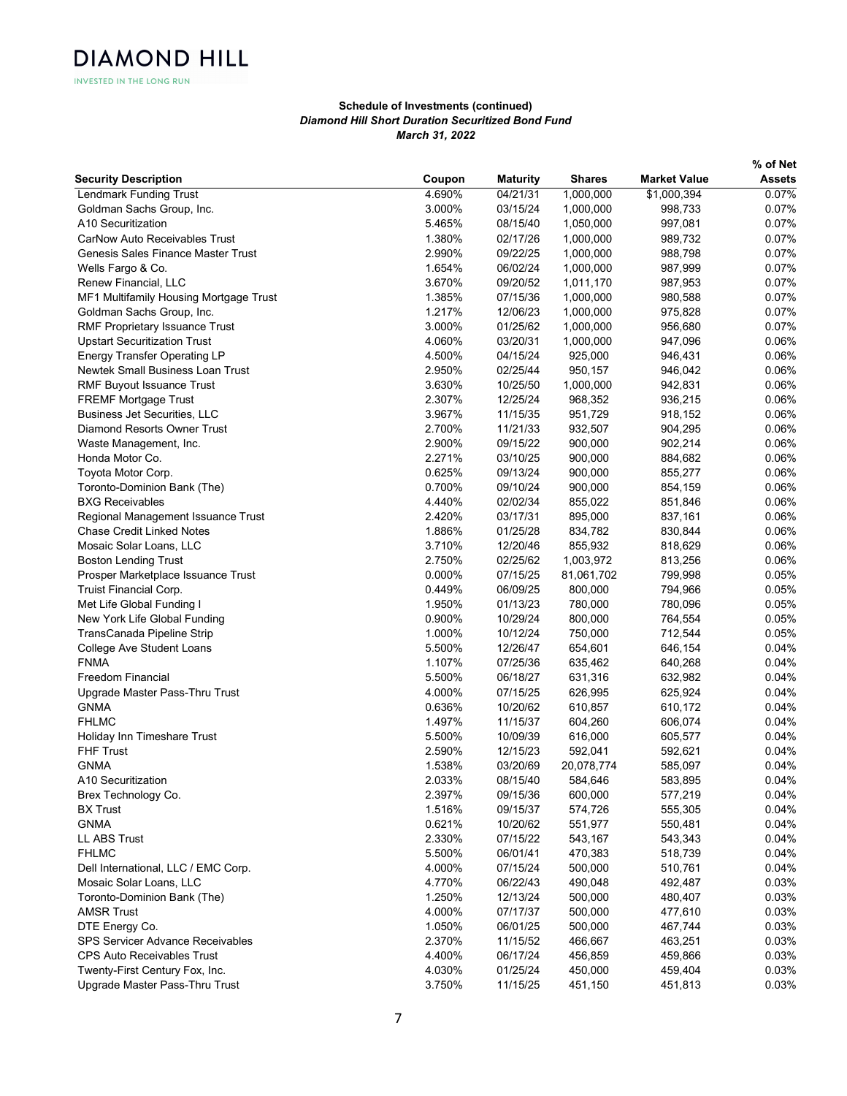|                                           |        |                 |               |                     | % of Net      |
|-------------------------------------------|--------|-----------------|---------------|---------------------|---------------|
| <b>Security Description</b>               | Coupon | <b>Maturity</b> | <b>Shares</b> | <b>Market Value</b> | <b>Assets</b> |
| <b>Lendmark Funding Trust</b>             | 4.690% | 04/21/31        | 1,000,000     | \$1,000,394         | 0.07%         |
| Goldman Sachs Group, Inc.                 | 3.000% | 03/15/24        | 1,000,000     | 998,733             | 0.07%         |
| A10 Securitization                        | 5.465% | 08/15/40        | 1,050,000     | 997,081             | 0.07%         |
| <b>CarNow Auto Receivables Trust</b>      | 1.380% | 02/17/26        | 1,000,000     | 989,732             | 0.07%         |
| <b>Genesis Sales Finance Master Trust</b> | 2.990% | 09/22/25        | 1,000,000     | 988,798             | 0.07%         |
| Wells Fargo & Co.                         | 1.654% | 06/02/24        | 1,000,000     | 987,999             | 0.07%         |
| Renew Financial, LLC                      | 3.670% | 09/20/52        | 1,011,170     | 987,953             | 0.07%         |
| MF1 Multifamily Housing Mortgage Trust    | 1.385% | 07/15/36        | 1,000,000     | 980,588             | 0.07%         |
| Goldman Sachs Group, Inc.                 | 1.217% | 12/06/23        | 1,000,000     | 975,828             | 0.07%         |
| RMF Proprietary Issuance Trust            | 3.000% | 01/25/62        | 1,000,000     | 956,680             | 0.07%         |
| <b>Upstart Securitization Trust</b>       | 4.060% | 03/20/31        | 1,000,000     | 947,096             | 0.06%         |
| <b>Energy Transfer Operating LP</b>       | 4.500% | 04/15/24        | 925,000       | 946,431             | 0.06%         |
| Newtek Small Business Loan Trust          | 2.950% | 02/25/44        | 950,157       | 946,042             | 0.06%         |
| <b>RMF Buyout Issuance Trust</b>          | 3.630% | 10/25/50        | 1,000,000     | 942,831             | 0.06%         |
| <b>FREMF Mortgage Trust</b>               | 2.307% | 12/25/24        | 968,352       | 936,215             | 0.06%         |
| <b>Business Jet Securities, LLC</b>       | 3.967% | 11/15/35        | 951,729       | 918,152             | 0.06%         |
| Diamond Resorts Owner Trust               | 2.700% | 11/21/33        | 932,507       | 904,295             | 0.06%         |
| Waste Management, Inc.                    | 2.900% | 09/15/22        | 900,000       | 902,214             | 0.06%         |
| Honda Motor Co.                           | 2.271% | 03/10/25        | 900,000       | 884,682             | 0.06%         |
| Toyota Motor Corp.                        | 0.625% | 09/13/24        | 900,000       | 855,277             | 0.06%         |
| Toronto-Dominion Bank (The)               | 0.700% | 09/10/24        | 900,000       | 854,159             | 0.06%         |
| <b>BXG Receivables</b>                    | 4.440% | 02/02/34        | 855,022       | 851,846             | 0.06%         |
| Regional Management Issuance Trust        | 2.420% | 03/17/31        | 895,000       | 837,161             | 0.06%         |
| <b>Chase Credit Linked Notes</b>          | 1.886% | 01/25/28        | 834,782       | 830,844             | 0.06%         |
| Mosaic Solar Loans, LLC                   | 3.710% | 12/20/46        | 855,932       | 818,629             | 0.06%         |
| <b>Boston Lending Trust</b>               | 2.750% | 02/25/62        | 1,003,972     | 813,256             | 0.06%         |
| Prosper Marketplace Issuance Trust        | 0.000% | 07/15/25        | 81,061,702    | 799,998             | 0.05%         |
| Truist Financial Corp.                    | 0.449% | 06/09/25        | 800,000       | 794,966             | 0.05%         |
| Met Life Global Funding I                 | 1.950% | 01/13/23        | 780,000       | 780,096             | 0.05%         |
| New York Life Global Funding              | 0.900% | 10/29/24        | 800,000       | 764,554             | 0.05%         |
| TransCanada Pipeline Strip                | 1.000% | 10/12/24        | 750,000       | 712,544             | 0.05%         |
| College Ave Student Loans                 | 5.500% | 12/26/47        | 654,601       | 646,154             | 0.04%         |
| <b>FNMA</b>                               | 1.107% | 07/25/36        | 635,462       | 640,268             | 0.04%         |
| <b>Freedom Financial</b>                  | 5.500% | 06/18/27        | 631,316       | 632,982             | 0.04%         |
| Upgrade Master Pass-Thru Trust            | 4.000% | 07/15/25        | 626,995       | 625,924             | 0.04%         |
| <b>GNMA</b>                               | 0.636% | 10/20/62        | 610,857       | 610,172             | 0.04%         |
| <b>FHLMC</b>                              | 1.497% | 11/15/37        | 604,260       | 606,074             | 0.04%         |
| Holiday Inn Timeshare Trust               | 5.500% | 10/09/39        | 616,000       | 605,577             | 0.04%         |
| <b>FHF Trust</b>                          | 2.590% | 12/15/23        | 592,041       | 592,621             | 0.04%         |
| <b>GNMA</b>                               | 1.538% | 03/20/69        | 20,078,774    | 585,097             | 0.04%         |
| A <sub>10</sub> Securitization            | 2.033% | 08/15/40        | 584,646       | 583,895             | 0.04%         |
| Brex Technology Co.                       | 2.397% | 09/15/36        | 600,000       | 577,219             | 0.04%         |
| <b>BX</b> Trust                           | 1.516% | 09/15/37        | 574,726       | 555,305             | 0.04%         |
| <b>GNMA</b>                               | 0.621% | 10/20/62        | 551,977       | 550,481             | 0.04%         |
| <b>LL ABS Trust</b>                       | 2.330% | 07/15/22        | 543,167       | 543,343             | 0.04%         |
| <b>FHLMC</b>                              | 5.500% | 06/01/41        | 470,383       | 518,739             | 0.04%         |
| Dell International, LLC / EMC Corp.       | 4.000% | 07/15/24        | 500,000       | 510,761             | 0.04%         |
| Mosaic Solar Loans, LLC                   | 4.770% | 06/22/43        | 490,048       | 492,487             | 0.03%         |
| Toronto-Dominion Bank (The)               | 1.250% | 12/13/24        | 500,000       | 480,407             | 0.03%         |
| <b>AMSR Trust</b>                         | 4.000% | 07/17/37        | 500,000       | 477,610             | 0.03%         |
| DTE Energy Co.                            | 1.050% | 06/01/25        | 500,000       | 467,744             | 0.03%         |
| SPS Servicer Advance Receivables          | 2.370% | 11/15/52        | 466,667       | 463,251             | 0.03%         |
| <b>CPS Auto Receivables Trust</b>         | 4.400% | 06/17/24        | 456,859       | 459,866             | 0.03%         |
| Twenty-First Century Fox, Inc.            | 4.030% | 01/25/24        | 450,000       | 459,404             | 0.03%         |
| Upgrade Master Pass-Thru Trust            | 3.750% | 11/15/25        | 451,150       | 451,813             | 0.03%         |
|                                           |        |                 |               |                     |               |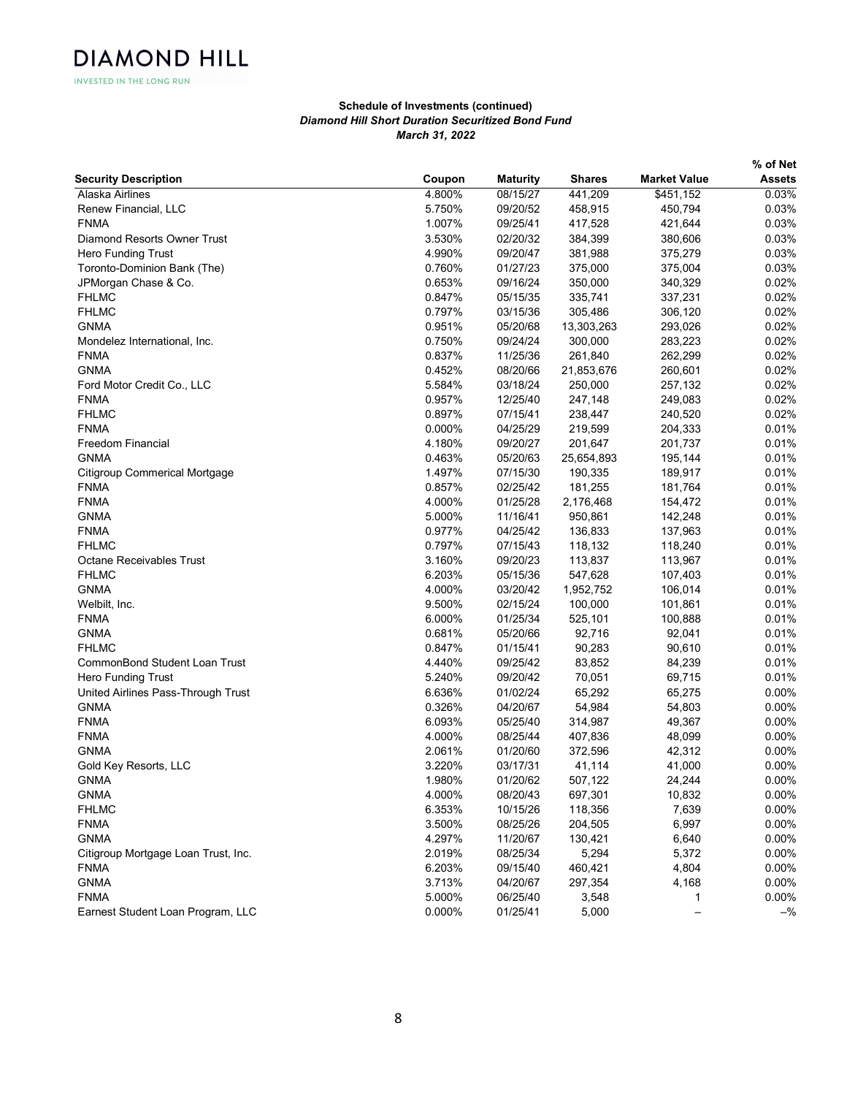|                                     |        |                 |               |                     | % of Net      |
|-------------------------------------|--------|-----------------|---------------|---------------------|---------------|
| <b>Security Description</b>         | Coupon | <b>Maturity</b> | <b>Shares</b> | <b>Market Value</b> | <b>Assets</b> |
| Alaska Airlines                     | 4.800% | 08/15/27        | 441,209       | \$451,152           | 0.03%         |
| Renew Financial, LLC                | 5.750% | 09/20/52        | 458,915       | 450,794             | 0.03%         |
| <b>FNMA</b>                         | 1.007% | 09/25/41        | 417,528       | 421,644             | 0.03%         |
| Diamond Resorts Owner Trust         | 3.530% | 02/20/32        | 384,399       | 380,606             | 0.03%         |
| Hero Funding Trust                  | 4.990% | 09/20/47        | 381,988       | 375,279             | 0.03%         |
| Toronto-Dominion Bank (The)         | 0.760% | 01/27/23        | 375,000       | 375,004             | 0.03%         |
| JPMorgan Chase & Co.                | 0.653% | 09/16/24        | 350,000       | 340,329             | 0.02%         |
| <b>FHLMC</b>                        | 0.847% | 05/15/35        | 335,741       | 337,231             | 0.02%         |
| <b>FHLMC</b>                        | 0.797% | 03/15/36        | 305,486       | 306,120             | 0.02%         |
| <b>GNMA</b>                         | 0.951% | 05/20/68        | 13,303,263    | 293,026             | 0.02%         |
| Mondelez International, Inc.        | 0.750% | 09/24/24        | 300,000       | 283,223             | 0.02%         |
| <b>FNMA</b>                         | 0.837% | 11/25/36        | 261,840       | 262,299             | 0.02%         |
| <b>GNMA</b>                         | 0.452% | 08/20/66        | 21,853,676    | 260,601             | 0.02%         |
| Ford Motor Credit Co., LLC          | 5.584% | 03/18/24        | 250,000       | 257,132             | 0.02%         |
| <b>FNMA</b>                         | 0.957% | 12/25/40        | 247,148       | 249,083             | 0.02%         |
| <b>FHLMC</b>                        | 0.897% | 07/15/41        | 238,447       | 240,520             | 0.02%         |
| <b>FNMA</b>                         | 0.000% | 04/25/29        | 219,599       | 204,333             | 0.01%         |
| <b>Freedom Financial</b>            | 4.180% | 09/20/27        | 201,647       | 201,737             | 0.01%         |
| <b>GNMA</b>                         | 0.463% | 05/20/63        | 25,654,893    | 195,144             | 0.01%         |
| Citigroup Commerical Mortgage       | 1.497% | 07/15/30        | 190,335       | 189,917             | 0.01%         |
| <b>FNMA</b>                         | 0.857% | 02/25/42        | 181,255       | 181,764             | 0.01%         |
| <b>FNMA</b>                         | 4.000% | 01/25/28        | 2,176,468     | 154,472             | 0.01%         |
| <b>GNMA</b>                         | 5.000% | 11/16/41        | 950,861       | 142,248             | 0.01%         |
| <b>FNMA</b>                         | 0.977% | 04/25/42        | 136,833       | 137,963             | 0.01%         |
| <b>FHLMC</b>                        | 0.797% | 07/15/43        | 118,132       | 118,240             | 0.01%         |
| <b>Octane Receivables Trust</b>     | 3.160% | 09/20/23        | 113,837       | 113,967             | 0.01%         |
| <b>FHLMC</b>                        | 6.203% | 05/15/36        | 547,628       | 107,403             | 0.01%         |
| <b>GNMA</b>                         | 4.000% | 03/20/42        | 1,952,752     | 106,014             | 0.01%         |
| Welbilt, Inc.                       | 9.500% | 02/15/24        | 100,000       | 101,861             | 0.01%         |
| <b>FNMA</b>                         | 6.000% | 01/25/34        | 525,101       | 100,888             | 0.01%         |
| <b>GNMA</b>                         | 0.681% | 05/20/66        | 92,716        | 92,041              | 0.01%         |
| <b>FHLMC</b>                        | 0.847% | 01/15/41        | 90,283        | 90,610              | 0.01%         |
| CommonBond Student Loan Trust       | 4.440% | 09/25/42        | 83,852        | 84,239              | 0.01%         |
|                                     |        |                 |               |                     |               |
| <b>Hero Funding Trust</b>           | 5.240% | 09/20/42        | 70,051        | 69,715              | 0.01%         |
| United Airlines Pass-Through Trust  | 6.636% | 01/02/24        | 65,292        | 65,275              | 0.00%         |
| <b>GNMA</b>                         | 0.326% | 04/20/67        | 54,984        | 54,803              | 0.00%         |
| <b>FNMA</b>                         | 6.093% | 05/25/40        | 314,987       | 49,367              | 0.00%         |
| <b>FNMA</b>                         | 4.000% | 08/25/44        | 407,836       | 48,099              | $0.00\%$      |
| <b>GNMA</b>                         | 2.061% | 01/20/60        | 372,596       | 42,312              | 0.00%         |
| Gold Key Resorts, LLC               | 3.220% | 03/17/31        | 41,114        | 41,000              | 0.00%         |
| <b>GNMA</b>                         | 1.980% | 01/20/62        | 507,122       | 24,244              | $0.00\%$      |
| <b>GNMA</b>                         | 4.000% | 08/20/43        | 697,301       | 10,832              | 0.00%         |
| <b>FHLMC</b>                        | 6.353% | 10/15/26        | 118,356       | 7,639               | 0.00%         |
| <b>FNMA</b>                         | 3.500% | 08/25/26        | 204,505       | 6,997               | 0.00%         |
| <b>GNMA</b>                         | 4.297% | 11/20/67        | 130,421       | 6,640               | 0.00%         |
| Citigroup Mortgage Loan Trust, Inc. | 2.019% | 08/25/34        | 5,294         | 5,372               | 0.00%         |
| <b>FNMA</b>                         | 6.203% | 09/15/40        | 460,421       | 4,804               | 0.00%         |
| <b>GNMA</b>                         | 3.713% | 04/20/67        | 297,354       | 4,168               | 0.00%         |
| <b>FNMA</b>                         | 5.000% | 06/25/40        | 3,548         | 1                   | 0.00%         |
| Earnest Student Loan Program, LLC   | 0.000% | 01/25/41        | 5,000         |                     | $-$ %         |